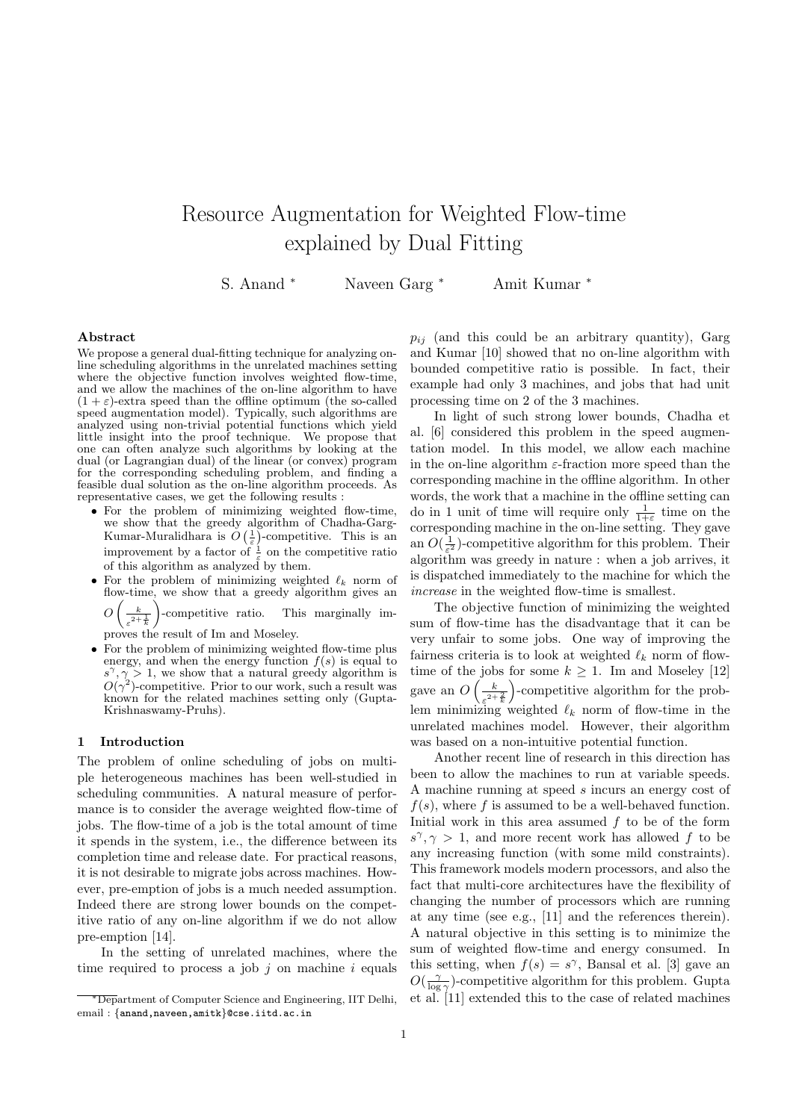# Resource Augmentation for Weighted Flow-time explained by Dual Fitting

S. Anand <sup>∗</sup> Naveen Garg <sup>∗</sup> Amit Kumar <sup>∗</sup>

## Abstract

We propose a general dual-fitting technique for analyzing online scheduling algorithms in the unrelated machines setting where the objective function involves weighted flow-time, and we allow the machines of the on-line algorithm to have  $(1 + \varepsilon)$ -extra speed than the offline optimum (the so-called speed augmentation model). Typically, such algorithms are analyzed using non-trivial potential functions which yield little insight into the proof technique. We propose that one can often analyze such algorithms by looking at the dual (or Lagrangian dual) of the linear (or convex) program for the corresponding scheduling problem, and finding a feasible dual solution as the on-line algorithm proceeds. As representative cases, we get the following results :

- For the problem of minimizing weighted flow-time, we show that the greedy algorithm of Chadha-Garg-Kumar-Muralidhara is  $O\left(\frac{1}{\varepsilon}\right)$ -competitive. This is an improvement by a factor of  $\frac{1}{\varepsilon}$  on the competitive ratio of this algorithm as analyzed by them.
- For the problem of minimizing weighted  $\ell_k$  norm of flow-time, we show that a greedy algorithm gives an  $O\left(\frac{k}{2}\right)$  $\sqrt{\varepsilon^2+\frac{1}{k}}$  $\setminus$ This marginally im-

proves the result of Im and Moseley.

• For the problem of minimizing weighted flow-time plus energy, and when the energy function  $f(s)$  is equal to  $s^{\gamma}, \gamma \geq 1$ , we show that a natural greedy algorithm is  $O(\gamma^2)$ -competitive. Prior to our work, such a result was known for the related machines setting only (Gupta-Krishnaswamy-Pruhs).

## 1 Introduction

The problem of online scheduling of jobs on multiple heterogeneous machines has been well-studied in scheduling communities. A natural measure of performance is to consider the average weighted flow-time of jobs. The flow-time of a job is the total amount of time it spends in the system, i.e., the difference between its completion time and release date. For practical reasons, it is not desirable to migrate jobs across machines. However, pre-emption of jobs is a much needed assumption. Indeed there are strong lower bounds on the competitive ratio of any on-line algorithm if we do not allow pre-emption [14].

In the setting of unrelated machines, where the time required to process a job  $j$  on machine  $i$  equals  $p_{ij}$  (and this could be an arbitrary quantity), Garg and Kumar [10] showed that no on-line algorithm with bounded competitive ratio is possible. In fact, their example had only 3 machines, and jobs that had unit processing time on 2 of the 3 machines.

In light of such strong lower bounds, Chadha et [6] considered this problem in the speed augmentation model. In this model, we allow each machine in the on-line algorithm  $\varepsilon$ -fraction more speed than the corresponding machine in the offline algorithm. In other words, the work that a machine in the offline setting can do in 1 unit of time will require only  $\frac{1}{1+\varepsilon}$  time on the corresponding machine in the on-line setting. They gave an  $O(\frac{1}{\varepsilon^2})$ -competitive algorithm for this problem. Their algorithm was greedy in nature : when a job arrives, it is dispatched immediately to the machine for which the increase in the weighted flow-time is smallest.

The objective function of minimizing the weighted sum of flow-time has the disadvantage that it can be very unfair to some jobs. One way of improving the fairness criteria is to look at weighted  $\ell_k$  norm of flowtime of the jobs for some  $k \geq 1$ . Im and Moseley [12] gave an  $O\left(\frac{k}{\lambda}\right)$  $\sqrt{\varepsilon^{2+\frac{2}{k}}}$  -competitive algorithm for the problem minimizing weighted  $\ell_k$  norm of flow-time in the unrelated machines model. However, their algorithm was based on a non-intuitive potential function.

Another recent line of research in this direction has been to allow the machines to run at variable speeds. A machine running at speed s incurs an energy cost of  $f(s)$ , where f is assumed to be a well-behaved function. Initial work in this area assumed  $f$  to be of the form  $s^{\gamma}, \gamma > 1$ , and more recent work has allowed f to be any increasing function (with some mild constraints). This framework models modern processors, and also the fact that multi-core architectures have the flexibility of changing the number of processors which are running at any time (see e.g., [11] and the references therein). A natural objective in this setting is to minimize the sum of weighted flow-time and energy consumed. In this setting, when  $f(s) = s^{\gamma}$ , Bansal et al. [3] gave an  $O(\frac{\gamma}{\log \gamma})$ -competitive algorithm for this problem. Gupta et al. [11] extended this to the case of related machines

<sup>∗</sup>Department of Computer Science and Engineering, IIT Delhi, email: {anand,naveen,amitk}@cse.iitd.ac.in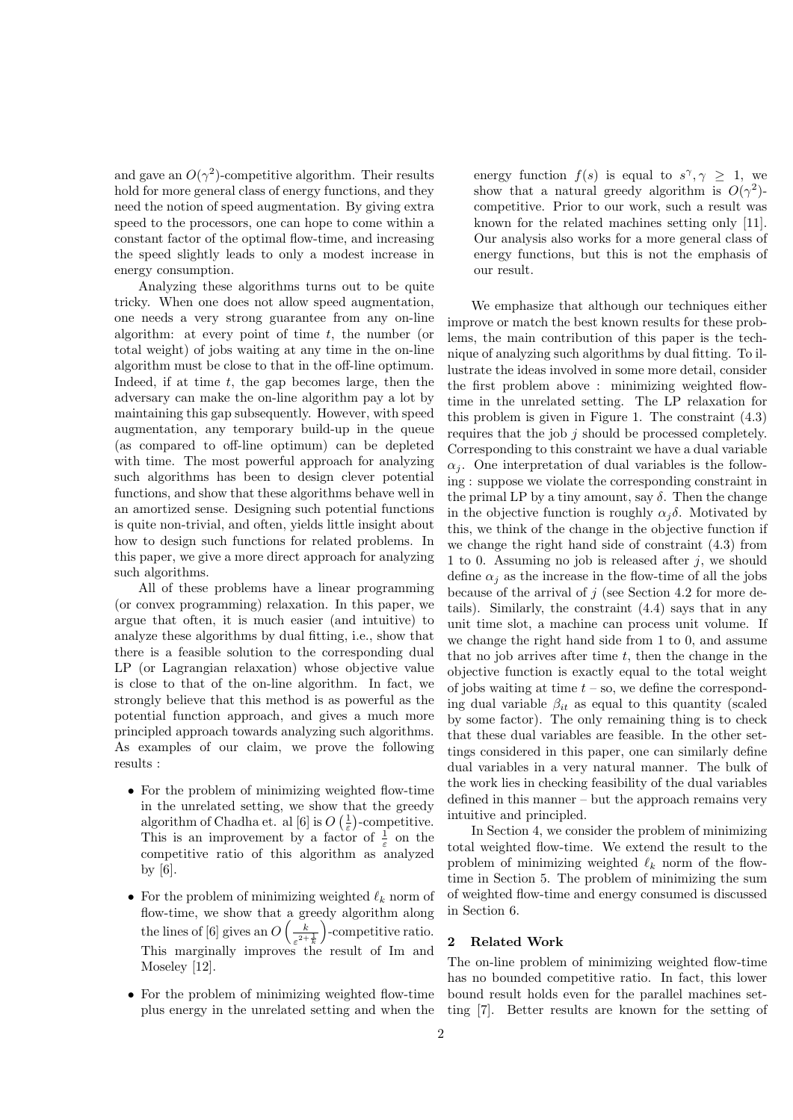and gave an  $O(\gamma^2)$ -competitive algorithm. Their results hold for more general class of energy functions, and they need the notion of speed augmentation. By giving extra speed to the processors, one can hope to come within a constant factor of the optimal flow-time, and increasing the speed slightly leads to only a modest increase in energy consumption.

Analyzing these algorithms turns out to be quite tricky. When one does not allow speed augmentation, one needs a very strong guarantee from any on-line algorithm: at every point of time  $t$ , the number (or total weight) of jobs waiting at any time in the on-line algorithm must be close to that in the off-line optimum. Indeed, if at time  $t$ , the gap becomes large, then the adversary can make the on-line algorithm pay a lot by maintaining this gap subsequently. However, with speed augmentation, any temporary build-up in the queue (as compared to off-line optimum) can be depleted with time. The most powerful approach for analyzing such algorithms has been to design clever potential functions, and show that these algorithms behave well in an amortized sense. Designing such potential functions is quite non-trivial, and often, yields little insight about how to design such functions for related problems. In this paper, we give a more direct approach for analyzing such algorithms.

All of these problems have a linear programming (or convex programming) relaxation. In this paper, we argue that often, it is much easier (and intuitive) to analyze these algorithms by dual fitting, i.e., show that there is a feasible solution to the corresponding dual LP (or Lagrangian relaxation) whose objective value is close to that of the on-line algorithm. In fact, we strongly believe that this method is as powerful as the potential function approach, and gives a much more principled approach towards analyzing such algorithms. As examples of our claim, we prove the following results :

- For the problem of minimizing weighted flow-time in the unrelated setting, we show that the greedy algorithm of Chadha et. al [6] is  $O\left(\frac{1}{\varepsilon}\right)$ -competitive. This is an improvement by a factor of  $\frac{1}{\varepsilon}$  on the competitive ratio of this algorithm as analyzed by [6].
- For the problem of minimizing weighted  $\ell_k$  norm of flow-time, we show that a greedy algorithm along the lines of [6] gives an  $O\left(\frac{k}{2} \right)$  $\sqrt{\varepsilon^{2+\frac{1}{k}}}$  -competitive ratio. This marginally improves the result of Im and Moseley [12].
- For the problem of minimizing weighted flow-time plus energy in the unrelated setting and when the

energy function  $f(s)$  is equal to  $s^{\gamma}, \gamma \geq 1$ , we show that a natural greedy algorithm is  $O(\gamma^2)$ competitive. Prior to our work, such a result was known for the related machines setting only [11]. Our analysis also works for a more general class of energy functions, but this is not the emphasis of our result.

We emphasize that although our techniques either improve or match the best known results for these problems, the main contribution of this paper is the technique of analyzing such algorithms by dual fitting. To illustrate the ideas involved in some more detail, consider the first problem above : minimizing weighted flowtime in the unrelated setting. The LP relaxation for this problem is given in Figure 1. The constraint (4.3) requires that the job j should be processed completely. Corresponding to this constraint we have a dual variable  $\alpha_i$ . One interpretation of dual variables is the following : suppose we violate the corresponding constraint in the primal LP by a tiny amount, say  $\delta$ . Then the change in the objective function is roughly  $\alpha_j \delta$ . Motivated by this, we think of the change in the objective function if we change the right hand side of constraint (4.3) from 1 to 0. Assuming no job is released after  $j$ , we should define  $\alpha_i$  as the increase in the flow-time of all the jobs because of the arrival of  $j$  (see Section 4.2 for more details). Similarly, the constraint (4.4) says that in any unit time slot, a machine can process unit volume. If we change the right hand side from 1 to 0, and assume that no job arrives after time  $t$ , then the change in the objective function is exactly equal to the total weight of jobs waiting at time  $t - so$ , we define the corresponding dual variable  $\beta_{it}$  as equal to this quantity (scaled by some factor). The only remaining thing is to check that these dual variables are feasible. In the other settings considered in this paper, one can similarly define dual variables in a very natural manner. The bulk of the work lies in checking feasibility of the dual variables defined in this manner – but the approach remains very intuitive and principled.

In Section 4, we consider the problem of minimizing total weighted flow-time. We extend the result to the problem of minimizing weighted  $\ell_k$  norm of the flowtime in Section 5. The problem of minimizing the sum of weighted flow-time and energy consumed is discussed in Section 6.

# 2 Related Work

The on-line problem of minimizing weighted flow-time has no bounded competitive ratio. In fact, this lower bound result holds even for the parallel machines setting [7]. Better results are known for the setting of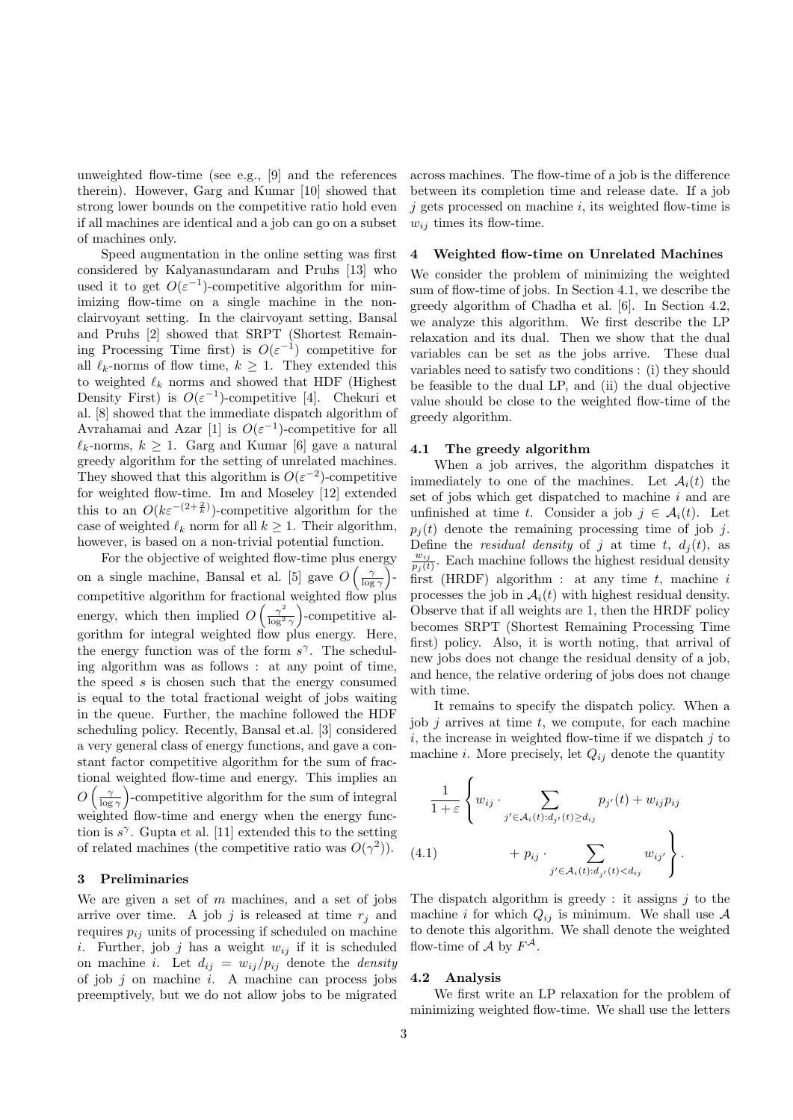unweighted flow-time (see e.g., [9] and the references therein). However, Garg and Kumar [10] showed that strong lower bounds on the competitive ratio hold even if all machines are identical and a job can go on a subset of machines only.

Speed augmentation in the online setting was first considered by Kalyanasundaram and Pruhs [13] who used it to get  $O(\varepsilon^{-1})$ -competitive algorithm for minimizing flow-time on a single machine in the nonclairvoyant setting. In the clairvoyant setting, Bansal and Pruhs [2] showed that SRPT (Shortest Remaining Processing Time first) is  $O(\varepsilon^{-1})$  competitive for all  $\ell_k$ -norms of flow time,  $k \geq 1$ . They extended this to weighted  $\ell_k$  norms and showed that HDF (Highest Density First) is  $O(\varepsilon^{-1})$ -competitive [4]. Chekuri et al. [8] showed that the immediate dispatch algorithm of Avrahamai and Azar [1] is  $O(\varepsilon^{-1})$ -competitive for all  $\ell_k$ -norms,  $k \geq 1$ . Garg and Kumar [6] gave a natural greedy algorithm for the setting of unrelated machines. They showed that this algorithm is  $O(\varepsilon^{-2})$ -competitive for weighted flow-time. Im and Moseley [12] extended this to an  $O(k\varepsilon^{-(2+\frac{2}{k})})$ -competitive algorithm for the case of weighted  $\ell_k$  norm for all  $k \geq 1$ . Their algorithm, however, is based on a non-trivial potential function.

For the objective of weighted flow-time plus energy on a single machine, Bansal et al. [5] gave  $O\left(\frac{\gamma}{\log \gamma}\right)$ competitive algorithm for fractional weighted flow plus energy, which then implied  $O\left(\frac{\gamma^2}{\log^2}\right)$  $\frac{\gamma^2}{\log^2 \gamma}$ )-competitive algorithm for integral weighted flow plus energy. Here, the energy function was of the form  $s^{\gamma}$ . The scheduling algorithm was as follows : at any point of time, the speed  $s$  is chosen such that the energy consumed is equal to the total fractional weight of jobs waiting in the queue. Further, the machine followed the HDF scheduling policy. Recently, Bansal et.al. [3] considered a very general class of energy functions, and gave a constant factor competitive algorithm for the sum of fractional weighted flow-time and energy. This implies an  $O\left(\frac{\gamma}{\log \gamma}\right)$ -competitive algorithm for the sum of integral weighted flow-time and energy when the energy function is  $s^{\gamma}$ . Gupta et al. [11] extended this to the setting of related machines (the competitive ratio was  $O(\gamma^2)$ ).

# 3 Preliminaries

We are given a set of  $m$  machines, and a set of jobs arrive over time. A job j is released at time  $r_i$  and requires  $p_{ij}$  units of processing if scheduled on machine i. Further, job j has a weight  $w_{ij}$  if it is scheduled on machine i. Let  $d_{ij} = w_{ij}/p_{ij}$  denote the *density* of job  $j$  on machine  $i$ . A machine can process jobs preemptively, but we do not allow jobs to be migrated across machines. The flow-time of a job is the difference between its completion time and release date. If a job  $j$  gets processed on machine  $i$ , its weighted flow-time is  $w_{ij}$  times its flow-time.

## 4 Weighted flow-time on Unrelated Machines

We consider the problem of minimizing the weighted sum of flow-time of jobs. In Section 4.1, we describe the greedy algorithm of Chadha et al. [6]. In Section 4.2, we analyze this algorithm. We first describe the LP relaxation and its dual. Then we show that the dual variables can be set as the jobs arrive. These dual variables need to satisfy two conditions : (i) they should be feasible to the dual LP, and (ii) the dual objective value should be close to the weighted flow-time of the greedy algorithm.

## 4.1 The greedy algorithm

When a job arrives, the algorithm dispatches it immediately to one of the machines. Let  $\mathcal{A}_i(t)$  the set of jobs which get dispatched to machine i and are unfinished at time t. Consider a job  $j \in \mathcal{A}_i(t)$ . Let  $p_i(t)$  denote the remaining processing time of job j. Define the *residual density* of j at time t,  $d_j(t)$ , as  $w_{ij}$  $\frac{w_{ij}}{p_j(t)}$ . Each machine follows the highest residual density first (HRDF) algorithm : at any time  $t$ , machine  $i$ processes the job in  $A_i(t)$  with highest residual density. Observe that if all weights are 1, then the HRDF policy becomes SRPT (Shortest Remaining Processing Time first) policy. Also, it is worth noting, that arrival of new jobs does not change the residual density of a job, and hence, the relative ordering of jobs does not change with time.

It remains to specify the dispatch policy. When a job  $j$  arrives at time  $t$ , we compute, for each machine i, the increase in weighted flow-time if we dispatch  $j$  to machine *i*. More precisely, let  $Q_{ij}$  denote the quantity

$$
\frac{1}{1+\varepsilon} \left\{ w_{ij} \cdot \sum_{j' \in \mathcal{A}_i(t): d_{j'}(t) \ge d_{ij}} p_{j'}(t) + w_{ij} p_{ij} + p_{ij} \cdot \sum_{j' \in \mathcal{A}_i(t): d_{j'}(t) < d_{ij}} w_{ij'} \right\}.
$$
\n(4.1)

The dispatch algorithm is greedy : it assigns  $j$  to the machine i for which  $Q_{ij}$  is minimum. We shall use A to denote this algorithm. We shall denote the weighted flow-time of  $A$  by  $F^{\mathcal{A}}$ .

## 4.2 Analysis

We first write an LP relaxation for the problem of minimizing weighted flow-time. We shall use the letters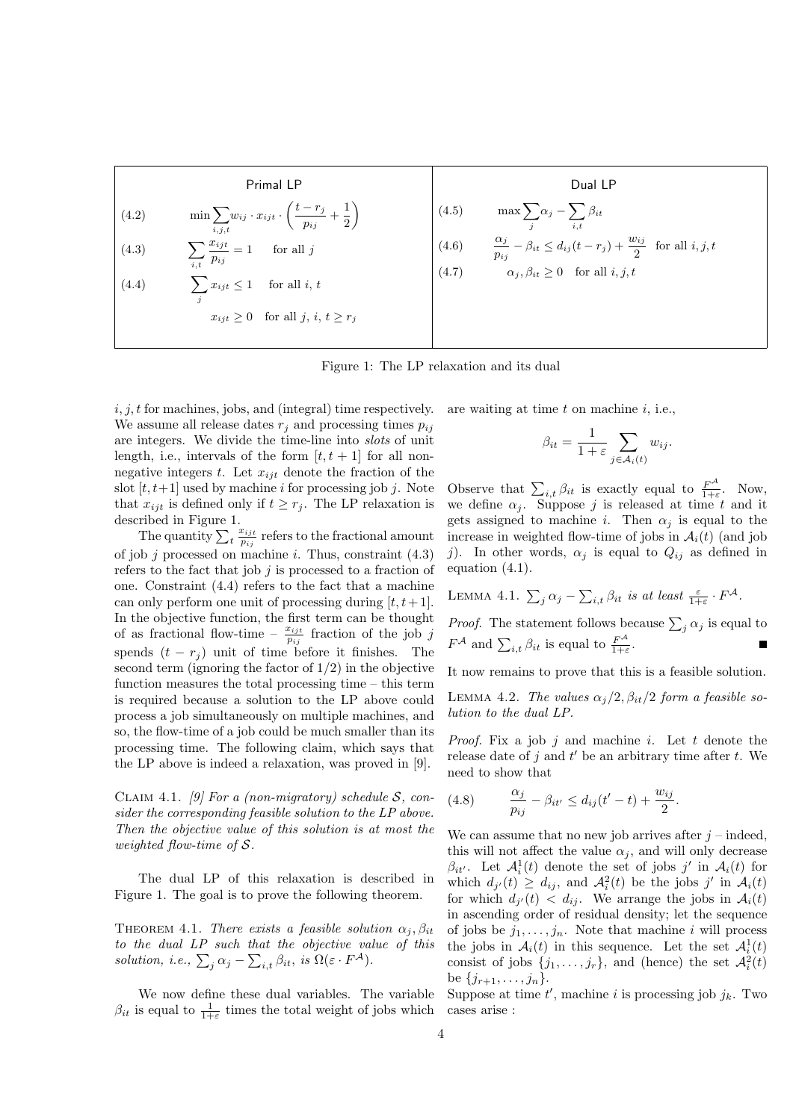| Primal LP                                 | Dual LP                                                                                          |                                              |                                                                                               |
|-------------------------------------------|--------------------------------------------------------------------------------------------------|----------------------------------------------|-----------------------------------------------------------------------------------------------|
| (4.2)                                     | $\min \sum_{i,j,t} w_{ij} \cdot x_{ijt} \cdot \left(\frac{t - r_j}{p_{ij}} + \frac{1}{2}\right)$ | (4.5)                                        | $\max \sum_{j} \alpha_j - \sum_{i,t} \beta_{it}$                                              |
| (4.3)                                     | $\sum_{i,t} \frac{x_{ijt}}{p_{ij}} = 1$ for all j                                                | (4.6)                                        | $\frac{\alpha_j}{p_{ij}} - \beta_{it} \le d_{ij}(t - r_j) + \frac{w_{ij}}{2}$ for all i, j, t |
| (4.4)                                     | $\sum_{j} x_{ijt} \le 1$ for all i, t                                                            | (4.7)                                        | $\alpha_j, \beta_{it} \ge 0$ for all i, j, t                                                  |
| $x_{ijt} \ge 0$ for all j, i, $t \ge r_j$ | (4.7)                                                                                            | $\alpha_j, \beta_{it} \ge 0$ for all i, j, t |                                                                                               |

Figure 1: The LP relaxation and its dual

 $i, j, t$  for machines, jobs, and (integral) time respectively. We assume all release dates  $r_i$  and processing times  $p_{ij}$ are integers. We divide the time-line into slots of unit length, i.e., intervals of the form  $[t, t + 1]$  for all nonnegative integers t. Let  $x_{ijt}$  denote the fraction of the slot  $[t, t+1]$  used by machine *i* for processing job *j*. Note that  $x_{ijt}$  is defined only if  $t \geq r_j$ . The LP relaxation is described in Figure 1.

The quantity  $\sum_{t} \frac{x_{ijt}}{p_{ij}}$  $\frac{x_{ijt}}{p_{ij}}$  refers to the fractional amount of job j processed on machine i. Thus, constraint  $(4.3)$ refers to the fact that job  $j$  is processed to a fraction of one. Constraint (4.4) refers to the fact that a machine can only perform one unit of processing during  $[t, t+1]$ . In the objective function, the first term can be thought of as fractional flow-time  $-\frac{x_{ijt}}{p_{ij}}$  fraction of the job j spends  $(t - r_j)$  unit of time before it finishes. The second term (ignoring the factor of  $1/2$ ) in the objective function measures the total processing time – this term is required because a solution to the LP above could process a job simultaneously on multiple machines, and so, the flow-time of a job could be much smaller than its processing time. The following claim, which says that the LP above is indeed a relaxation, was proved in [9].

CLAIM 4.1. [9] For a (non-migratory) schedule  $S$ , consider the corresponding feasible solution to the LP above. Then the objective value of this solution is at most the weighted flow-time of S.

The dual LP of this relaxation is described in Figure 1. The goal is to prove the following theorem.

THEOREM 4.1. There exists a feasible solution  $\alpha_i, \beta_{it}$ to the dual LP such that the objective value of this solution, i.e.,  $\sum_j \alpha_j - \sum_{i,t} \beta_{it}$ , is  $\Omega(\varepsilon \cdot F^{\mathcal{A}})$ .

We now define these dual variables. The variable  $\beta_{it}$  is equal to  $\frac{1}{1+\varepsilon}$  times the total weight of jobs which

are waiting at time  $t$  on machine  $i$ , i.e.,

$$
\beta_{it} = \frac{1}{1+\varepsilon} \sum_{j \in \mathcal{A}_i(t)} w_{ij}.
$$

Observe that  $\sum_{i,t} \beta_{it}$  is exactly equal to  $\frac{F^{\mathcal{A}}}{1+i}$  $\frac{F^{\prime\prime}}{1+\varepsilon}$ . Now, we define  $\alpha_j$ . Suppose j is released at time t and it gets assigned to machine i. Then  $\alpha_i$  is equal to the increase in weighted flow-time of jobs in  $\mathcal{A}_i(t)$  (and job j). In other words,  $\alpha_j$  is equal to  $Q_{ij}$  as defined in equation (4.1).

LEMMA 4.1. 
$$
\sum_{j} \alpha_j - \sum_{i,t} \beta_{it}
$$
 is at least  $\frac{\varepsilon}{1+\varepsilon} \cdot F^{\mathcal{A}}$ .

*Proof.* The statement follows because  $\sum_j \alpha_j$  is equal to  $F^{\mathcal{A}}$  and  $\sum_{i,t} \beta_{it}$  is equal to  $\frac{F^{\mathcal{A}}}{1+s}$  $rac{F}{1+\varepsilon}$ .

It now remains to prove that this is a feasible solution.

LEMMA 4.2. The values  $\alpha_i/2$ ,  $\beta_{it}/2$  form a feasible solution to the dual LP.

*Proof.* Fix a job j and machine i. Let t denote the release date of j and  $t'$  be an arbitrary time after t. We need to show that

(4.8) 
$$
\frac{\alpha_j}{p_{ij}} - \beta_{it'} \leq d_{ij}(t'-t) + \frac{w_{ij}}{2}.
$$

We can assume that no new job arrives after  $j$  – indeed, this will not affect the value  $\alpha_i$ , and will only decrease  $\beta_{it'}$ . Let  $\mathcal{A}_i^1(t)$  denote the set of jobs j' in  $\mathcal{A}_i(t)$  for which  $d_{j'}(t) \geq d_{ij}$ , and  $\mathcal{A}_i^2(t)$  be the jobs j' in  $\mathcal{A}_i(t)$ for which  $d_{j'}(t) < d_{ij}$ . We arrange the jobs in  $\mathcal{A}_i(t)$ in ascending order of residual density; let the sequence of jobs be  $j_1, \ldots, j_n$ . Note that machine i will process the jobs in  $\mathcal{A}_i(t)$  in this sequence. Let the set  $\mathcal{A}_i^1(t)$ consist of jobs  $\{j_1, \ldots, j_r\}$ , and (hence) the set  $\mathcal{A}_i^2(t)$ be  $\{j_{r+1}, \ldots, j_n\}.$ 

Suppose at time  $t'$ , machine i is processing job  $j_k$ . Two cases arise :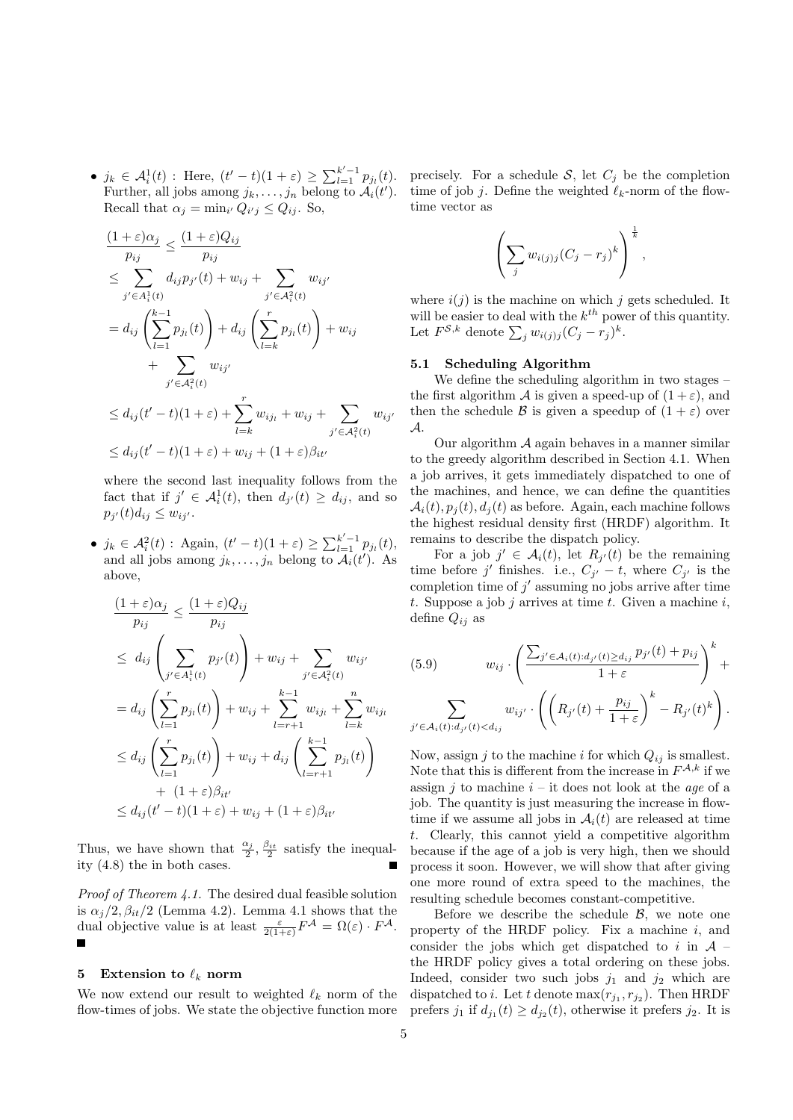•  $j_k \in A_i^1(t)$ : Here,  $(t'-t)(1+\varepsilon) \ge \sum_{l=1}^{k'-1} p_{j_l}(t)$ . Further, all jobs among  $j_k, \ldots, j_n$  belong to  $\mathcal{A}_i(t')$ . Recall that  $\alpha_j = \min_{i'} Q_{i'j} \leq Q_{ij}$ . So,

$$
\frac{(1+\varepsilon)\alpha_j}{p_{ij}} \le \frac{(1+\varepsilon)Q_{ij}}{p_{ij}}
$$
\n
$$
\le \sum_{j' \in A_i^1(t)} d_{ij}p_{j'}(t) + w_{ij} + \sum_{j' \in A_i^2(t)} w_{ij'}
$$
\n
$$
= d_{ij} \left(\sum_{l=1}^{k-1} p_{j_l}(t)\right) + d_{ij} \left(\sum_{l=k}^r p_{j_l}(t)\right) + w_{ij}
$$
\n
$$
+ \sum_{j' \in A_i^2(t)} w_{ij'}
$$
\n
$$
\le d_{ij}(t'-t)(1+\varepsilon) + \sum_{l=k}^r w_{ij_l} + w_{ij} + \sum_{j' \in A_i^2(t)} w_{ij'}
$$
\n
$$
\le d_{ij}(t'-t)(1+\varepsilon) + w_{ij} + (1+\varepsilon)\beta_{it'}
$$

where the second last inequality follows from the fact that if  $j' \in \mathcal{A}_i^1(t)$ , then  $d_{j'}(t) \geq d_{ij}$ , and so  $p_{j'}(t)d_{ij} \leq w_{ij'}$ .

•  $j_k \in \mathcal{A}_i^2(t)$ : Again,  $(t'-t)(1+\varepsilon) \ge \sum_{l=1}^{k'-1} p_{j_l}(t)$ , and all jobs among  $j_k, \ldots, j_n$  belong to  $\mathcal{A}_i(t')$ . As above,

$$
\frac{(1+\varepsilon)\alpha_j}{p_{ij}} \le \frac{(1+\varepsilon)Q_{ij}}{p_{ij}}
$$
\n
$$
\le d_{ij} \left( \sum_{j' \in A_i^1(t)} p_{j'}(t) \right) + w_{ij} + \sum_{j' \in A_i^2(t)} w_{ij'}
$$
\n
$$
= d_{ij} \left( \sum_{l=1}^r p_{j_l}(t) \right) + w_{ij} + \sum_{l=r+1}^{k-1} w_{ij_l} + \sum_{l=k}^n w_{ij_l}
$$
\n
$$
\le d_{ij} \left( \sum_{l=1}^r p_{j_l}(t) \right) + w_{ij} + d_{ij} \left( \sum_{l=r+1}^{k-1} p_{j_l}(t) \right)
$$
\n
$$
+ (1+\varepsilon)\beta_{it'}
$$
\n
$$
\le d_{ij} (t'-t)(1+\varepsilon) + w_{ij} + (1+\varepsilon)\beta_{it'}
$$

Thus, we have shown that  $\frac{\alpha_j}{2}, \frac{\beta_{it}}{2}$  satisfy the inequality (4.8) the in both cases.

Proof of Theorem 4.1. The desired dual feasible solution is  $\alpha_j/2, \beta_{it}/2$  (Lemma 4.2). Lemma 4.1 shows that the dual objective value is at least  $\frac{\varepsilon}{2(1+\varepsilon)}F^{\mathcal{A}} = \Omega(\varepsilon) \cdot F^{\mathcal{A}}$ .

## 5 Extension to  $\ell_k$  norm

We now extend our result to weighted  $\ell_k$  norm of the flow-times of jobs. We state the objective function more

precisely. For a schedule  $S$ , let  $C_j$  be the completion time of job j. Define the weighted  $\ell_k$ -norm of the flowtime vector as

$$
\left(\sum_j w_{i(j)j}(C_j - r_j)^k\right)^{\frac{1}{k}},
$$

where  $i(j)$  is the machine on which j gets scheduled. It will be easier to deal with the  $k^{th}$  power of this quantity. Let  $F^{\mathcal{S},k}$  denote  $\sum_j w_{i(j)j} (C_j - r_j)^k$ .

## 5.1 Scheduling Algorithm

We define the scheduling algorithm in two stages – the first algorithm A is given a speed-up of  $(1+\varepsilon)$ , and then the schedule B is given a speedup of  $(1 + \varepsilon)$  over A.

Our algorithm  $A$  again behaves in a manner similar to the greedy algorithm described in Section 4.1. When a job arrives, it gets immediately dispatched to one of the machines, and hence, we can define the quantities  $\mathcal{A}_i(t), p_i(t), d_i(t)$  as before. Again, each machine follows the highest residual density first (HRDF) algorithm. It remains to describe the dispatch policy.

For a job  $j' \in \mathcal{A}_i(t)$ , let  $R_{j'}(t)$  be the remaining time before j' finishes. i.e.,  $C_{j'} - t$ , where  $C_{j'}$  is the completion time of  $j'$  assuming no jobs arrive after time t. Suppose a job j arrives at time t. Given a machine i, define  $Q_{ij}$  as

(5.9) 
$$
w_{ij} \cdot \left( \frac{\sum_{j' \in \mathcal{A}_i(t): d_{j'}(t) \ge d_{ij}} p_{j'}(t) + p_{ij}}{1 + \varepsilon} \right)^k + \sum_{j' \in \mathcal{A}_i(t): d_{j'}(t) < d_{ij}} w_{ij'} \cdot \left( \left( R_{j'}(t) + \frac{p_{ij}}{1 + \varepsilon} \right)^k - R_{j'}(t)^k \right).
$$

Now, assign j to the machine i for which  $Q_{ij}$  is smallest. Note that this is different from the increase in  $F^{\mathcal{A},k}$  if we assign  $j$  to machine  $i$  – it does not look at the *age* of a job. The quantity is just measuring the increase in flowtime if we assume all jobs in  $A_i(t)$  are released at time t. Clearly, this cannot yield a competitive algorithm because if the age of a job is very high, then we should process it soon. However, we will show that after giving one more round of extra speed to the machines, the resulting schedule becomes constant-competitive.

Before we describe the schedule  $\beta$ , we note one property of the HRDF policy. Fix a machine  $i$ , and consider the jobs which get dispatched to i in  $A$  – the HRDF policy gives a total ordering on these jobs. Indeed, consider two such jobs  $j_1$  and  $j_2$  which are dispatched to *i*. Let t denote  $\max(r_{j_1}, r_{j_2})$ . Then HRDF prefers  $j_1$  if  $d_{j_1}(t) \geq d_{j_2}(t)$ , otherwise it prefers  $j_2$ . It is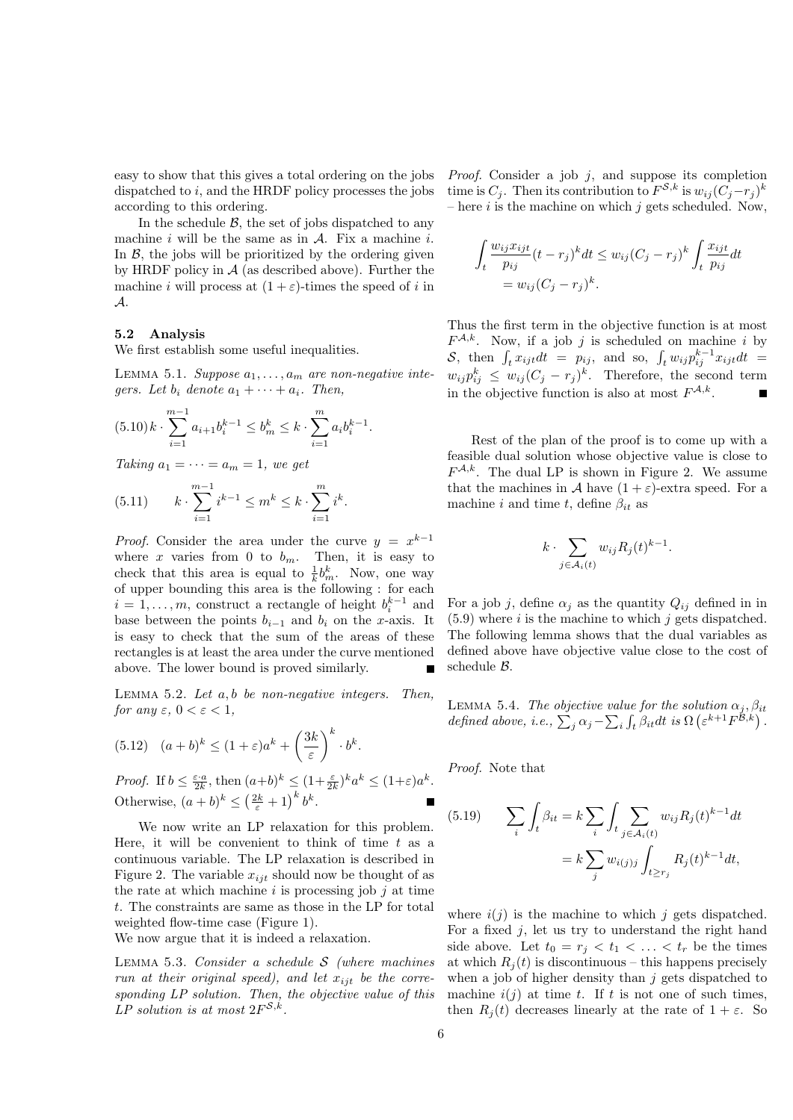easy to show that this gives a total ordering on the jobs dispatched to  $i$ , and the HRDF policy processes the jobs according to this ordering.

In the schedule  $\beta$ , the set of jobs dispatched to any machine i will be the same as in  $A$ . Fix a machine i. In  $\beta$ , the jobs will be prioritized by the ordering given by HRDF policy in  $A$  (as described above). Further the machine i will process at  $(1 + \varepsilon)$ -times the speed of i in A.

# 5.2 Analysis

We first establish some useful inequalities.

LEMMA 5.1. Suppose  $a_1, \ldots, a_m$  are non-negative integers. Let  $b_i$  denote  $a_1 + \cdots + a_i$ . Then,

$$
(5.10) k \cdot \sum_{i=1}^{m-1} a_{i+1} b_i^{k-1} \le b_m^k \le k \cdot \sum_{i=1}^m a_i b_i^{k-1}.
$$

Taking  $a_1 = \cdots = a_m = 1$ , we get

(5.11) 
$$
k \cdot \sum_{i=1}^{m-1} i^{k-1} \leq m^k \leq k \cdot \sum_{i=1}^{m} i^k.
$$

*Proof.* Consider the area under the curve  $y = x^{k-1}$ where x varies from 0 to  $b_m$ . Then, it is easy to check that this area is equal to  $\frac{1}{k}b_m^k$ . Now, one way of upper bounding this area is the following : for each  $i = 1, \ldots, m$ , construct a rectangle of height  $b_i^{k-1}$  and base between the points  $b_{i-1}$  and  $b_i$  on the x-axis. It is easy to check that the sum of the areas of these rectangles is at least the area under the curve mentioned above. The lower bound is proved similarly.

LEMMA 5.2. Let  $a, b$  be non-negative integers. Then, for any  $\varepsilon$ ,  $0 < \varepsilon < 1$ ,

(5.12) 
$$
(a+b)^k \le (1+\varepsilon)a^k + \left(\frac{3k}{\varepsilon}\right)^k \cdot b^k.
$$

*Proof.* If  $b \leq \frac{\varepsilon \cdot a}{2k}$ , then  $(a+b)^k \leq (1+\frac{\varepsilon}{2k})^k a^k \leq (1+\varepsilon)a^k$ . Otherwise,  $(a+b)^k \leq (\frac{2k}{\varepsilon}+1)^k b^k$ .

We now write an LP relaxation for this problem. Here, it will be convenient to think of time  $t$  as a continuous variable. The LP relaxation is described in Figure 2. The variable  $x_{ijt}$  should now be thought of as the rate at which machine  $i$  is processing job  $j$  at time t. The constraints are same as those in the LP for total weighted flow-time case (Figure 1).

We now argue that it is indeed a relaxation.

LEMMA 5.3. Consider a schedule  $S$  (where machines run at their original speed), and let  $x_{ijt}$  be the corresponding LP solution. Then, the objective value of this LP solution is at most  $2F^{\mathcal{S},k}$ .

*Proof.* Consider a job  $j$ , and suppose its completion time is  $C_j$ . Then its contribution to  $F^{\mathcal{S},k}$  is  $w_{ij}(C_j-r_j)^k$ – here  $i$  is the machine on which  $j$  gets scheduled. Now,

$$
\int_{t} \frac{w_{ij}x_{ijt}}{p_{ij}}(t-r_{j})^{k} dt \leq w_{ij}(C_{j}-r_{j})^{k} \int_{t} \frac{x_{ijt}}{p_{ij}} dt
$$

$$
= w_{ij}(C_{j}-r_{j})^{k}.
$$

Thus the first term in the objective function is at most  $F^{\mathcal{A},k}$ . Now, if a job j is scheduled on machine i by S, then  $\int_t x_{ijt} dt = p_{ij}$ , and so,  $\int_t w_{ij} p_{ij}^{k-1} x_{ijt} dt =$  $w_{ij}p_{ij}^k \leq w_{ij}(C_j - r_j)^k$ . Therefore, the second term in the objective function is also at most  $F^{\mathcal{A},k}$ . П

Rest of the plan of the proof is to come up with a feasible dual solution whose objective value is close to  $F^{\mathcal{A},k}$ . The dual LP is shown in Figure 2. We assume that the machines in A have  $(1 + \varepsilon)$ -extra speed. For a machine i and time t, define  $\beta_{it}$  as

$$
k \cdot \sum_{j \in \mathcal{A}_i(t)} w_{ij} R_j(t)^{k-1}.
$$

For a job j, define  $\alpha_i$  as the quantity  $Q_{ij}$  defined in in  $(5.9)$  where i is the machine to which j gets dispatched. The following lemma shows that the dual variables as defined above have objective value close to the cost of schedule B.

LEMMA 5.4. The objective value for the solution  $\alpha_j, \beta_{it}$ defined above, i.e.,  $\sum_j \alpha_j - \sum_i \int_t \beta_{it} dt$  is  $\Omega\left(\varepsilon^{k+1} F^{\mathcal{B},k}\right)$ .

Proof. Note that

(5.19) 
$$
\sum_{i} \int_{t} \beta_{it} = k \sum_{i} \int_{t} \sum_{j \in A_{i}(t)} w_{ij} R_{j}(t)^{k-1} dt
$$

$$
= k \sum_{j} w_{i(j)j} \int_{t \geq r_{j}} R_{j}(t)^{k-1} dt,
$$

where  $i(j)$  is the machine to which j gets dispatched. For a fixed  $j$ , let us try to understand the right hand side above. Let  $t_0 = r_i < t_1 < \ldots < t_r$  be the times at which  $R_i(t)$  is discontinuous – this happens precisely when a job of higher density than  $j$  gets dispatched to machine  $i(j)$  at time t. If t is not one of such times, then  $R_i(t)$  decreases linearly at the rate of  $1 + \varepsilon$ . So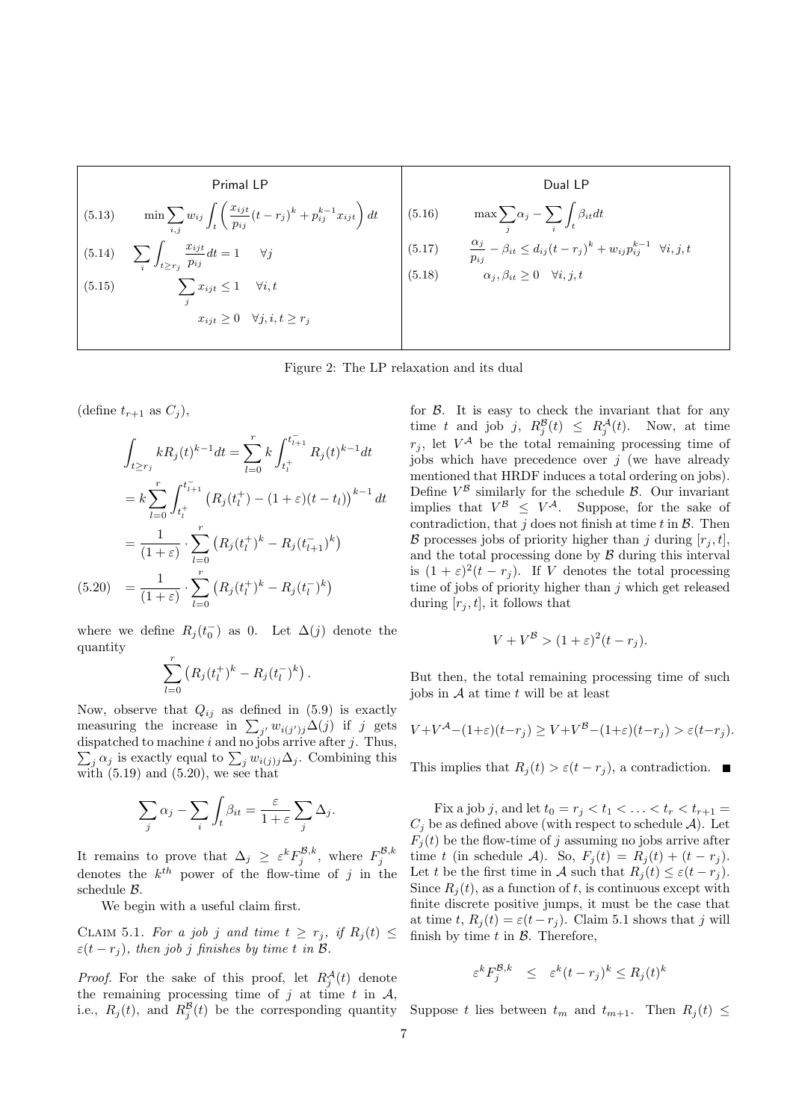| Primal LP                                       | Dual LP                                                                                                     |        |                                                                                                            |
|-------------------------------------------------|-------------------------------------------------------------------------------------------------------------|--------|------------------------------------------------------------------------------------------------------------|
| (5.13)                                          | $\min \sum_{i,j} w_{ij} \int_t \left( \frac{x_{ijt}}{p_{ij}} (t - r_j)^k + p_{ij}^{k-1} x_{ijt} \right) dt$ | (5.16) | $\max \sum_j \alpha_j - \sum_i \int_t \beta_{it} dt$                                                       |
| (5.14)                                          | $\sum_i \int_{t \geq r_j} \frac{x_{ijt}}{p_{ij}} dt = 1 \quad \forall j$                                    | (5.17) | $\frac{\alpha_j}{p_{ij}} - \beta_{it} \leq d_{ij} (t - r_j)^k + w_{ij} p_{ij}^{k-1} \quad \forall i, j, t$ |
| (5.15)                                          | $\sum_j x_{ijt} \leq 1 \quad \forall i, t$                                                                  | (5.18) | $\alpha_j, \beta_{it} \geq 0 \quad \forall i, j, t$                                                        |
| $x_{ijt} \geq 0 \quad \forall j, i, t \geq r_j$ | (5.18)                                                                                                      |        |                                                                                                            |

Figure 2: The LP relaxation and its dual

(define  $t_{r+1}$  as  $C_i$ ),

$$
\int_{t \ge r_j} k R_j(t)^{k-1} dt = \sum_{l=0}^r k \int_{t_l^+}^{t_{l+1}^-} R_j(t)^{k-1} dt
$$

$$
= k \sum_{l=0}^r \int_{t_l^+}^{t_{l+1}^-} (R_j(t_l^+) - (1+\varepsilon)(t-t_l))^{k-1} dt
$$

$$
= \frac{1}{(1+\varepsilon)} \cdot \sum_{l=0}^r (R_j(t_l^+)^k - R_j(t_{l+1}^-)^k)
$$

$$
(5.20) = \frac{1}{(1+\varepsilon)} \cdot \sum_{l=0}^r (R_j(t_l^+)^k - R_j(t_l^-)^k)
$$

where we define  $R_j(t_0^-)$  as 0. Let  $\Delta(j)$  denote the quantity

$$
\sum_{l=0}^r (R_j(t_l^+)^k - R_j(t_l^-)^k).
$$

Now, observe that  $Q_{ij}$  as defined in (5.9) is exactly measuring the increase in  $\sum_{j'} w_{i(j')j} \Delta(j)$  if j gets  $\sum_j \alpha_j$  is exactly equal to  $\sum_j w_{i(j)j} \Delta_j$ . Combining this dispatched to machine  $i$  and no jobs arrive after  $j$ . Thus, with  $(5.19)$  and  $(5.20)$ , we see that

$$
\sum_{j} \alpha_{j} - \sum_{i} \int_{t} \beta_{it} = \frac{\varepsilon}{1 + \varepsilon} \sum_{j} \Delta_{j}.
$$

It remains to prove that  $\Delta_j \geq \varepsilon^k F_j^{\mathcal{B},k}$ , where  $F_j^{\mathcal{B},k}$ denotes the  $k^{th}$  power of the flow-time of j in the schedule B.

We begin with a useful claim first.

CLAIM 5.1. For a job j and time  $t \geq r_j$ , if  $R_j(t) \leq$  $\varepsilon(t-r_j)$ , then job j finishes by time t in B.

*Proof.* For the sake of this proof, let  $R_j^{\mathcal{A}}(t)$  denote the remaining processing time of j at time t in  $A$ , i.e.,  $R_j(t)$ , and  $R_j^{\mathcal{B}}(t)$  be the corresponding quantity Suppose t lies between  $t_m$  and  $t_{m+1}$ . Then  $R_j(t) \leq$ 

for  $\beta$ . It is easy to check the invariant that for any time t and job j,  $R_j^{\mathcal{B}}(t) \leq R_j^{\mathcal{A}}(t)$ . Now, at time  $r_j$ , let  $V^{\mathcal{A}}$  be the total remaining processing time of jobs which have precedence over  $j$  (we have already mentioned that HRDF induces a total ordering on jobs). Define  $V^{\mathcal{B}}$  similarly for the schedule  $\mathcal{B}$ . Our invariant implies that  $V^{\mathcal{B}} \leq V^{\mathcal{A}}$ . Suppose, for the sake of contradiction, that  $j$  does not finish at time  $t$  in  $\mathcal{B}$ . Then  $\mathcal B$  processes jobs of priority higher than j during  $[r_i, t]$ , and the total processing done by  $\beta$  during this interval is  $(1+\varepsilon)^2(t-r_j)$ . If V denotes the total processing time of jobs of priority higher than  $j$  which get released during  $[r_i, t]$ , it follows that

$$
V + V^{\mathcal{B}} > (1 + \varepsilon)^2 (t - r_j).
$$

But then, the total remaining processing time of such jobs in  $A$  at time t will be at least

$$
V + V^{\mathcal{A}} - (1+\varepsilon)(t-r_j) \ge V + V^{\mathcal{B}} - (1+\varepsilon)(t-r_j) > \varepsilon(t-r_j).
$$

This implies that  $R_i(t) > \varepsilon(t-r_i)$ , a contradiction.  $\blacksquare$ 

Fix a job j, and let  $t_0 = r_j < t_1 < \ldots < t_r < t_{r+1} =$  $C_j$  be as defined above (with respect to schedule A). Let  $F_j(t)$  be the flow-time of j assuming no jobs arrive after time t (in schedule A). So,  $F_j(t) = R_j(t) + (t - r_j)$ . Let t be the first time in A such that  $R_i(t) \leq \varepsilon (t - r_i)$ . Since  $R_i(t)$ , as a function of t, is continuous except with finite discrete positive jumps, it must be the case that at time t,  $R_j(t) = \varepsilon(t - r_j)$ . Claim 5.1 shows that j will finish by time  $t$  in  $\beta$ . Therefore,

$$
\varepsilon^k F_j^{\mathcal{B},k} \leq \varepsilon^k (t-r_j)^k \leq R_j(t)^k
$$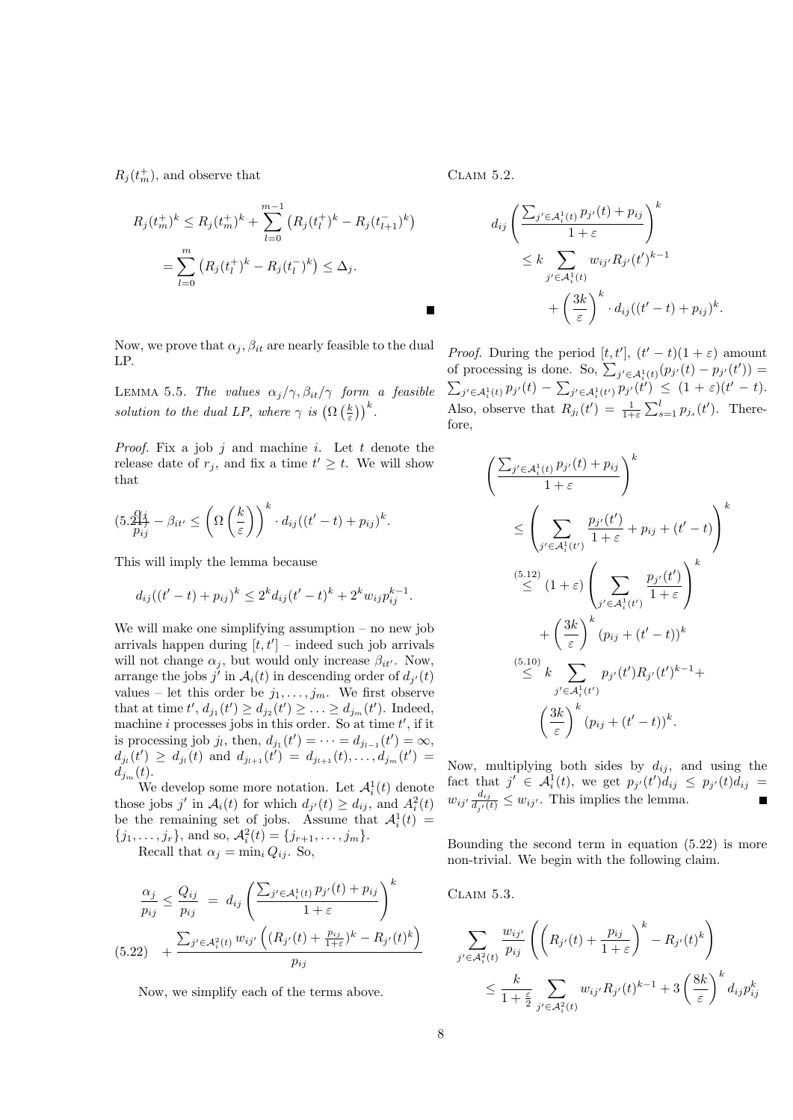$R_j(t_m^+),$  and observe that

$$
R_j(t_m^+)^k \le R_j(t_m^+)^k + \sum_{l=0}^{m-1} (R_j(t_l^+)^k - R_j(t_{l+1}^-)^k)
$$
  
= 
$$
\sum_{l=0}^m (R_j(t_l^+)^k - R_j(t_l^-)^k) \le \Delta_j.
$$

Now, we prove that  $\alpha_j, \beta_{it}$  are nearly feasible to the dual LP.

LEMMA 5.5. The values  $\alpha_j/\gamma$ ,  $\beta_{it}/\gamma$  form a feasible solution to the dual LP, where  $\gamma$  is  $(\Omega\left(\frac{k}{\varepsilon}\right))^k$ .

*Proof.* Fix a job j and machine i. Let t denote the release date of  $r_j$ , and fix a time  $t' \geq t$ . We will show that

$$
(5.\frac{Q'_{ij}}{p_{ij}} - \beta_{it'} \leq \left(\Omega\left(\frac{k}{\varepsilon}\right)\right)^k \cdot d_{ij}((t'-t) + p_{ij})^k.
$$

This will imply the lemma because

$$
d_{ij}((t'-t)+p_{ij})^k \le 2^k d_{ij}(t'-t)^k + 2^k w_{ij} p_{ij}^{k-1}.
$$

We will make one simplifying assumption – no new job arrivals happen during  $[t, t']$  – indeed such job arrivals will not change  $\alpha_j,$  but would only increase  $\beta_{it'}.$  Now, arrange the jobs  $j'$  in  $\mathcal{A}_i(t)$  in descending order of  $d_{j'}(t)$ values – let this order be  $j_1, \ldots, j_m$ . We first observe that at time  $t', d_{j_1}(t') \ge d_{j_2}(t') \ge ... \ge d_{j_m}(t')$ . Indeed, machine i processes jobs in this order. So at time  $t'$ , if it is processing job  $j_l$ , then,  $d_{j_1}(t') = \cdots = d_{j_{l-1}}(t') = \infty$ ,  $d_{j_l}(t') \geq d_{j_l}(t)$  and  $d_{j_{l+1}}(t') = d_{j_{l+1}}(t), \ldots, d_{j_m}(t') =$  $d_{j_m}(t)$ .

We develop some more notation. Let  $\mathcal{A}_i^1(t)$  denote those jobs j' in  $A_i(t)$  for which  $d_{j'}(t) \geq d_{ij}$ , and  $A_i^2(t)$ be the remaining set of jobs. Assume that  $\mathcal{A}_i^1(t) =$  ${j_1, \ldots, j_r}$ , and so,  $\mathcal{A}_i^2(t) = {j_{r+1}, \ldots, j_m}$ . Recall that  $\alpha_i = \min_i Q_{ij}$ . So,

$$
\frac{\alpha_j}{p_{ij}} \le \frac{Q_{ij}}{p_{ij}} = d_{ij} \left( \frac{\sum_{j' \in \mathcal{A}_i^1(t)} p_{j'}(t) + p_{ij}}{1 + \varepsilon} \right)^k
$$
\n
$$
(5.22) + \frac{\sum_{j' \in \mathcal{A}_i^2(t)} w_{ij'} \left( (R_{j'}(t) + \frac{p_{ij}}{1 + \varepsilon})^k - R_{j'}(t)^k \right)}{p_{ij}}
$$

Now, we simplify each of the terms above.

Claim 5.2.

 $\blacksquare$ 

$$
d_{ij} \left( \frac{\sum_{j' \in \mathcal{A}_i^1(t)} p_{j'}(t) + p_{ij}}{1 + \varepsilon} \right)^k
$$
  
 
$$
\leq k \sum_{j' \in \mathcal{A}_i^1(t)} w_{ij'} R_{j'}(t')^{k-1}
$$
  
 
$$
+ \left( \frac{3k}{\varepsilon} \right)^k \cdot d_{ij} ((t' - t) + p_{ij})^k.
$$

*Proof.* During the period  $[t, t']$ ,  $(t' - t)(1 + \varepsilon)$  amount of processing is done. So,  $\sum_{j' \in \mathcal{A}_{i}^{1}(t)} (p_{j'}(t) - p_{j'}(t')) =$  $\sum_{j' \in A_i^1(t)} p_{j'}(t) - \sum_{j' \in A_i^1(t')} p_{j'}(t') \leq (1+\varepsilon)(t'-t).$ Also, observe that  $R_{j_l}(t') = \frac{1}{1+\varepsilon} \sum_{s=1}^l p_{j_s}(t')$ . Therefore,

$$
\left(\frac{\sum_{j' \in A_i^1(t)} p_{j'}(t) + p_{ij}}{1 + \varepsilon}\right)^k
$$
\n
$$
\leq \left(\sum_{j' \in A_i^1(t')} \frac{p_{j'}(t')}{1 + \varepsilon} + p_{ij} + (t' - t)\right)^k
$$
\n
$$
\stackrel{(5.12)}{\leq} (1 + \varepsilon) \left(\sum_{j' \in A_i^1(t')} \frac{p_{j'}(t')}{1 + \varepsilon}\right)^k
$$
\n
$$
+ \left(\frac{3k}{\varepsilon}\right)^k (p_{ij} + (t' - t))^k
$$
\n
$$
\stackrel{(5.10)}{\leq} k \sum_{j' \in A_i^1(t')} p_{j'}(t') R_{j'}(t')^{k-1} + \left(\frac{3k}{\varepsilon}\right)^k (p_{ij} + (t' - t))^k.
$$

Now, multiplying both sides by  $d_{ij}$ , and using the fact that  $j' \in \mathcal{A}_i^1(t)$ , we get  $p_{j'}(t')d_{ij} \leq p_{j'}(t)d_{ij} =$  $w_{ij'} \frac{d_{ij}}{d_{ij}(\omega)}$  $\frac{a_{ij}}{d_{j'}(t)} \leq w_{ij'}$ . This implies the lemma. Ē

Bounding the second term in equation (5.22) is more non-trivial. We begin with the following claim.

Claim 5.3.

$$
\sum_{j' \in \mathcal{A}_i^2(t)} \frac{w_{ij'}}{p_{ij}} \left( \left( R_{j'}(t) + \frac{p_{ij}}{1+\varepsilon} \right)^k - R_{j'}(t)^k \right)
$$
  

$$
\leq \frac{k}{1+\frac{\varepsilon}{2}} \sum_{j' \in \mathcal{A}_i^2(t)} w_{ij'} R_{j'}(t)^{k-1} + 3 \left( \frac{8k}{\varepsilon} \right)^k d_{ij} p_{ij}^k
$$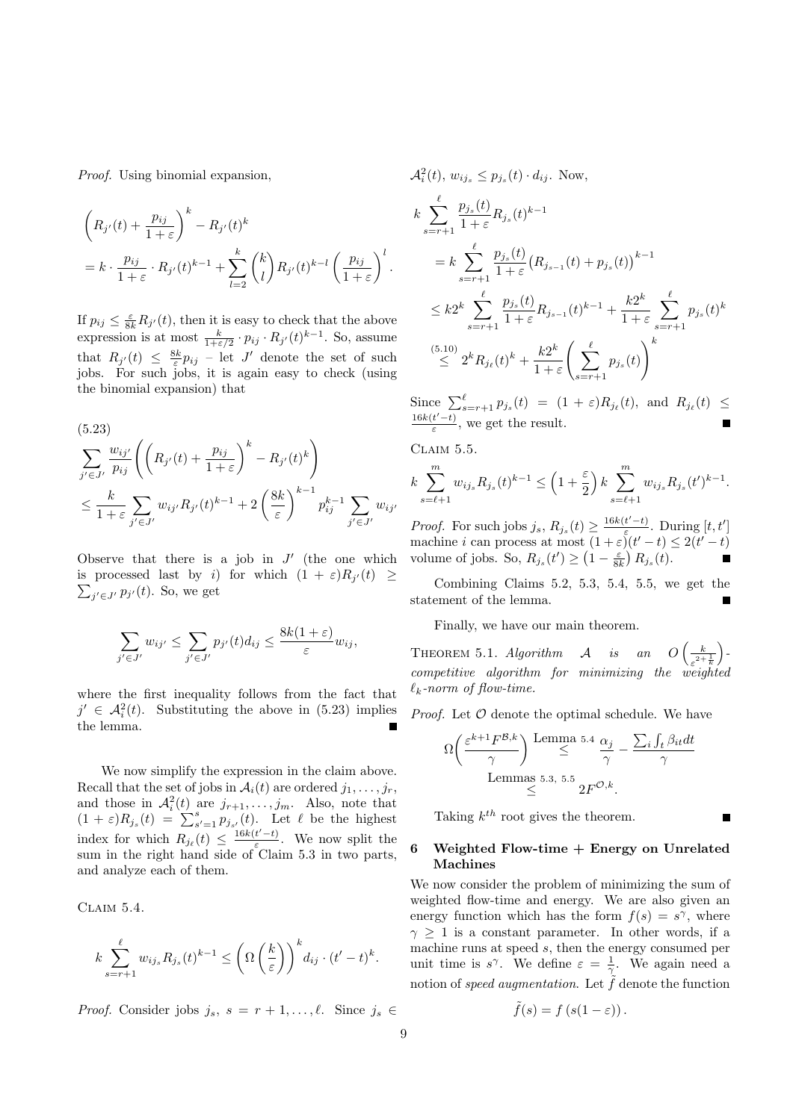Proof. Using binomial expansion,

$$
\left(R_{j'}(t) + \frac{p_{ij}}{1+\varepsilon}\right)^k - R_{j'}(t)^k
$$
  
=  $k \cdot \frac{p_{ij}}{1+\varepsilon} \cdot R_{j'}(t)^{k-1} + \sum_{l=2}^k {k \choose l} R_{j'}(t)^{k-l} \left(\frac{p_{ij}}{1+\varepsilon}\right)^l.$ 

If  $p_{ij} \leq \frac{\varepsilon}{8k}R_{j'}(t)$ , then it is easy to check that the above expression is at most  $\frac{k}{1+\epsilon/2} \cdot p_{ij} \cdot R_{j'}(t)^{k-1}$ . So, assume that  $R_{j'}(t) \leq \frac{8k}{\varepsilon} p_{ij}$  – let J' denote the set of such jobs. For such jobs, it is again easy to check (using the binomial expansion) that

$$
(5.23)
$$
  
\n
$$
\sum_{j' \in J'} \frac{w_{ij'}}{p_{ij}} \left( \left( R_{j'}(t) + \frac{p_{ij}}{1+\varepsilon} \right)^k - R_{j'}(t)^k \right)
$$
  
\n
$$
\leq \frac{k}{1+\varepsilon} \sum_{j' \in J'} w_{ij'} R_{j'}(t)^{k-1} + 2 \left( \frac{8k}{\varepsilon} \right)^{k-1} p_{ij}^{k-1} \sum_{j' \in J'} w_{ij'}
$$

Observe that there is a job in  $J'$  (the one which is processed last by *i*) for which  $(1 + \varepsilon)R_{j'}(t) \ge \sum_{i' \in I'} p_{i'}(t)$ . So, we get  $j' \in J'$   $p_{j'}(t)$ . So, we get

$$
\sum_{j' \in J'} w_{ij'} \leq \sum_{j' \in J'} p_{j'}(t) d_{ij} \leq \frac{8k(1+\varepsilon)}{\varepsilon} w_{ij},
$$

where the first inequality follows from the fact that  $j' \in \mathcal{A}_i^2(t)$ . Substituting the above in (5.23) implies the lemma.

We now simplify the expression in the claim above. Recall that the set of jobs in  $\mathcal{A}_i(t)$  are ordered  $j_1, \ldots, j_r$ , and those in  $\mathcal{A}_i^2(t)$  are  $j_{r+1}, \ldots, j_m$ . Also, note that  $(1+\varepsilon)R_{j_s}(t) = \sum_{s'=1}^s p_{j_{s'}}(t)$ . Let  $\ell$  be the highest index for which  $R_{j_\ell}(t) \leq \frac{16k(t'-t)}{\varepsilon}$  $\frac{t-t}{\varepsilon}$ . We now split the sum in the right hand side of Claim 5.3 in two parts, and analyze each of them.

CLAIM  $5.4$ .

$$
k\sum_{s=r+1}^{\ell}w_{ij_s}R_{j_s}(t)^{k-1} \leq \left(\Omega\left(\frac{k}{\varepsilon}\right)\right)^{k}d_{ij}\cdot (t'-t)^{k}.
$$

*Proof.* Consider jobs  $j_s$ ,  $s = r + 1, \ldots, \ell$ . Since  $j_s \in$ 

$$
A_i^2(t), w_{ij_s} \le p_{j_s}(t) \cdot d_{ij}. \text{ Now,}
$$
  
\n
$$
k \sum_{s=r+1}^{\ell} \frac{p_{j_s}(t)}{1+\varepsilon} R_{j_s}(t)^{k-1}
$$
  
\n
$$
= k \sum_{s=r+1}^{\ell} \frac{p_{j_s}(t)}{1+\varepsilon} (R_{j_{s-1}}(t) + p_{j_s}(t))^{k-1}
$$
  
\n
$$
\le k 2^k \sum_{s=r+1}^{\ell} \frac{p_{j_s}(t)}{1+\varepsilon} R_{j_{s-1}}(t)^{k-1} + \frac{k 2^k}{1+\varepsilon} \sum_{s=r+1}^{\ell} p_{j_s}(t)^k
$$
  
\n
$$
\le 2^k R_{j_\ell}(t)^k + \frac{k 2^k}{1+\varepsilon} \left( \sum_{s=r+1}^{\ell} p_{j_s}(t) \right)^k
$$

Since  $\sum_{s=r+1}^{\ell} p_{j_s}(t) = (1+\varepsilon) R_{j_{\ell}}(t)$ , and  $R_{j_{\ell}}(t) \le$  $16k(t'-t)$  $\frac{t-t}{\varepsilon}$ , we get the result.

CLAIM 5.5.

$$
k \sum_{s=\ell+1}^{m} w_{i j_s} R_{j_s}(t)^{k-1} \le \left(1+\frac{\varepsilon}{2}\right) k \sum_{s=\ell+1}^{m} w_{i j_s} R_{j_s}(t')^{k-1}.
$$

*Proof.* For such jobs  $j_s$ ,  $R_{j_s}(t) \geq \frac{16k(t'-t)}{\varepsilon}$  $\frac{t'-t)}{\varepsilon}$ . During  $[t, t']$ machine i can process at most  $(1+\varepsilon)(t'-t) \leq 2(t'-t)$ volume of jobs. So,  $R_{j_s}(t') \geq \left(1 - \frac{\varepsilon}{8k}\right) R_{j_s}(t)$ .

Combining Claims 5.2, 5.3, 5.4, 5.5, we get the statement of the lemma.

Finally, we have our main theorem.

THEOREM 5.1. Algorithm  $\mathcal{A}$  is an  $O\left(\frac{k}{\epsilon}\right)$  $\sqrt{\varepsilon^2+\frac{1}{k}}$  $\big)$  competitive algorithm for minimizing the weighted  $\ell_k$ -norm of flow-time.

*Proof.* Let  $\mathcal O$  denote the optimal schedule. We have

$$
\Omega\left(\frac{\varepsilon^{k+1}F^{\mathcal{B},k}}{\gamma}\right) \underset{\leq \text{ 1.5.3, 5.5}}{\text{Lemma 5.4 }} \frac{\alpha_j}{\gamma} - \frac{\sum_i \int_t \beta_{it} dt}{\gamma}
$$
  
Lemma 5.3, 5.5  

$$
\geq \frac{\gamma}{2}F^{\mathcal{O},k}.
$$

Taking  $k^{th}$  root gives the theorem.

# Weighted Flow-time  $+$  Energy on Unrelated Machines

We now consider the problem of minimizing the sum of weighted flow-time and energy. We are also given an energy function which has the form  $f(s) = s^{\gamma}$ , where  $\gamma \geq 1$  is a constant parameter. In other words, if a machine runs at speed s, then the energy consumed per unit time is  $s^{\gamma}$ . We define  $\varepsilon = \frac{1}{\gamma}$ . We again need a notion of speed augmentation. Let  $\tilde{f}$  denote the function

$$
\tilde{f}(s) = f(s(1 - \varepsilon)).
$$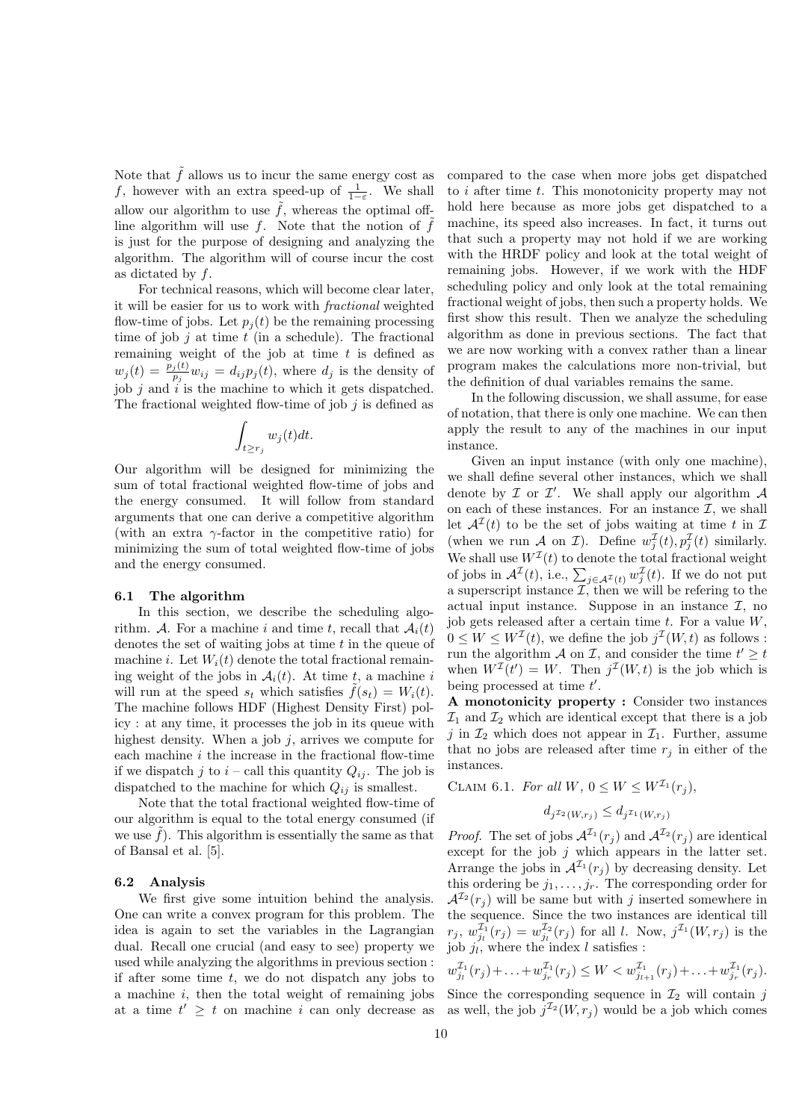Note that  $\tilde{f}$  allows us to incur the same energy cost as f, however with an extra speed-up of  $\frac{1}{1-\varepsilon}$ . We shall allow our algorithm to use  $\tilde{f}$ , whereas the optimal offline algorithm will use  $f$ . Note that the notion of  $f$ is just for the purpose of designing and analyzing the algorithm. The algorithm will of course incur the cost as dictated by  $f$ .

For technical reasons, which will become clear later, it will be easier for us to work with fractional weighted flow-time of jobs. Let  $p_i(t)$  be the remaining processing time of job  $j$  at time  $t$  (in a schedule). The fractional remaining weight of the job at time  $t$  is defined as  $w_j(t) = \frac{p_j(t)}{p_j} w_{ij} = d_{ij} p_j(t)$ , where  $d_j$  is the density of job  $j$  and  $i$  is the machine to which it gets dispatched. The fractional weighted flow-time of job  $j$  is defined as

$$
\int_{t\geq r_j} w_j(t)dt.
$$

Our algorithm will be designed for minimizing the sum of total fractional weighted flow-time of jobs and the energy consumed. It will follow from standard arguments that one can derive a competitive algorithm (with an extra  $\gamma$ -factor in the competitive ratio) for minimizing the sum of total weighted flow-time of jobs and the energy consumed.

## 6.1 The algorithm

In this section, we describe the scheduling algorithm. A. For a machine i and time t, recall that  $A_i(t)$ denotes the set of waiting jobs at time  $t$  in the queue of machine i. Let  $W_i(t)$  denote the total fractional remaining weight of the jobs in  $A_i(t)$ . At time t, a machine i will run at the speed  $s_t$  which satisfies  $\tilde{f}(s_t) = W_i(t)$ . The machine follows HDF (Highest Density First) policy : at any time, it processes the job in its queue with highest density. When a job  $j$ , arrives we compute for each machine  $i$  the increase in the fractional flow-time if we dispatch j to  $i$  – call this quantity  $Q_{ij}$ . The job is dispatched to the machine for which  $Q_{ij}$  is smallest.

Note that the total fractional weighted flow-time of our algorithm is equal to the total energy consumed (if we use  $f$ ). This algorithm is essentially the same as that of Bansal et al. [5].

# 6.2 Analysis

We first give some intuition behind the analysis. One can write a convex program for this problem. The idea is again to set the variables in the Lagrangian dual. Recall one crucial (and easy to see) property we used while analyzing the algorithms in previous section : if after some time  $t$ , we do not dispatch any jobs to a machine  $i$ , then the total weight of remaining jobs at a time  $t' \geq t$  on machine i can only decrease as

compared to the case when more jobs get dispatched to i after time t. This monotonicity property may not hold here because as more jobs get dispatched to a machine, its speed also increases. In fact, it turns out that such a property may not hold if we are working with the HRDF policy and look at the total weight of remaining jobs. However, if we work with the HDF scheduling policy and only look at the total remaining fractional weight of jobs, then such a property holds. We first show this result. Then we analyze the scheduling algorithm as done in previous sections. The fact that we are now working with a convex rather than a linear program makes the calculations more non-trivial, but the definition of dual variables remains the same.

In the following discussion, we shall assume, for ease of notation, that there is only one machine. We can then apply the result to any of the machines in our input instance.

Given an input instance (with only one machine), we shall define several other instances, which we shall denote by  $\mathcal I$  or  $\mathcal I'$ . We shall apply our algorithm  $\mathcal A$ on each of these instances. For an instance  $\mathcal{I}$ , we shall let  $\mathcal{A}^{\mathcal{I}}(t)$  to be the set of jobs waiting at time t in  $\mathcal{I}$ (when we run A on I). Define  $w_j^{\mathcal{I}}(t), p_j^{\mathcal{I}}(t)$  similarly. We shall use  $W<sup>\mathcal{I}(t)</sup>$  to denote the total fractional weight of jobs in  $\mathcal{A}^{\mathcal{I}}(t)$ , i.e.,  $\sum_{j\in\mathcal{A}^{\mathcal{I}}(t)}w_{j}^{\mathcal{I}}(t)$ . If we do not put a superscript instance  $\mathcal{I}$ , then we will be refering to the actual input instance. Suppose in an instance  $\mathcal{I}$ , no job gets released after a certain time  $t$ . For a value  $W$ ,  $0 \leq W \leq W^{\mathcal{I}}(t)$ , we define the job  $j^{\mathcal{I}}(W,t)$  as follows : run the algorithm A on I, and consider the time  $t' \geq t$ when  $W^{\mathcal{I}}(t') = W$ . Then  $j^{\mathcal{I}}(W,t)$  is the job which is being processed at time  $t'$ .

A monotonicity property : Consider two instances  $\mathcal{I}_1$  and  $\mathcal{I}_2$  which are identical except that there is a job j in  $\mathcal{I}_2$  which does not appear in  $\mathcal{I}_1$ . Further, assume that no jobs are released after time  $r_i$  in either of the instances.

CLAIM 6.1. For all  $W, 0 \leq W \leq W^{\mathcal{I}_1}(r_i),$ 

$$
d_j \tau_2(W, r_j) \le d_j \tau_1(W, r_j)
$$

*Proof.* The set of jobs  $\mathcal{A}^{\mathcal{I}_1}(r_i)$  and  $\mathcal{A}^{\mathcal{I}_2}(r_i)$  are identical except for the job  $j$  which appears in the latter set. Arrange the jobs in  $\mathcal{A}^{\mathcal{I}_1}(r_i)$  by decreasing density. Let this ordering be  $j_1, \ldots, j_r$ . The corresponding order for  $\mathcal{A}^{\mathcal{I}_2}(r_i)$  will be same but with *i* inserted somewhere in the sequence. Since the two instances are identical till  $r_j, w_{j_l}^{\mathcal{I}_1}(r_j) = w_{j_l}^{\mathcal{I}_2}(r_j)$  for all l. Now,  $j^{\mathcal{I}_1}(W,r_j)$  is the job  $j_l$ , where the index l satisfies :

$$
w_{j_l}^{\mathcal{I}_1}(r_j) + \ldots + w_{j_r}^{\mathcal{I}_1}(r_j) \le W < w_{j_{l+1}}^{\mathcal{I}_1}(r_j) + \ldots + w_{j_r}^{\mathcal{I}_1}(r_j).
$$

Since the corresponding sequence in  $\mathcal{I}_2$  will contain j as well, the job  $j^{\mathcal{I}_2}(W,r_j)$  would be a job which comes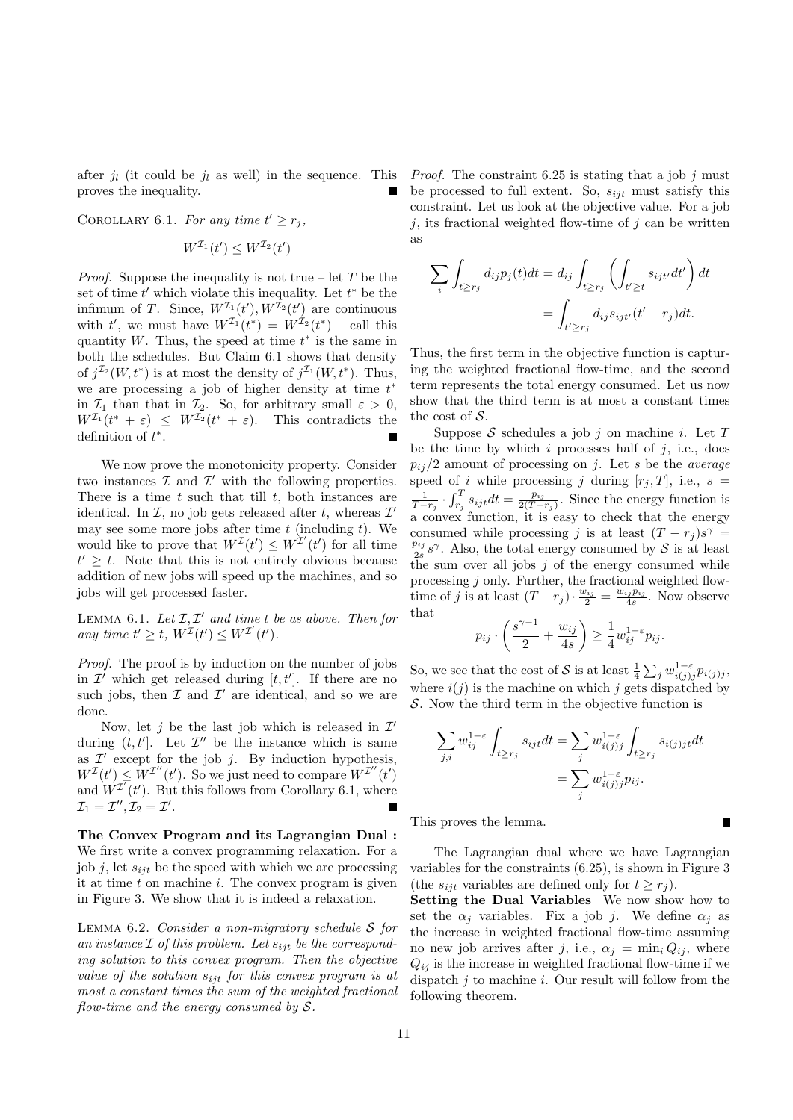after  $j_l$  (it could be  $j_l$  as well) in the sequence. This proves the inequality.

COROLLARY 6.1. For any time  $t' \geq r_j$ ,

$$
W^{\mathcal{I}_1}(t') \leq W^{\mathcal{I}_2}(t')
$$

*Proof.* Suppose the inequality is not true – let T be the set of time  $t'$  which violate this inequality. Let  $t^*$  be the infimum of T. Since,  $W^{\mathcal{I}_1}(t'), W^{\mathcal{I}_2}(t')$  are continuous with t', we must have  $W^{\mathcal{I}_1}(t^*) = W^{\mathcal{I}_2}(t^*)$  - call this quantity  $W$ . Thus, the speed at time  $t^*$  is the same in both the schedules. But Claim 6.1 shows that density of  $j^{\mathcal{I}_2}(W, t^*)$  is at most the density of  $j^{\mathcal{I}_1}(W, t^*)$ . Thus, we are processing a job of higher density at time  $t^*$ in  $\mathcal{I}_1$  than that in  $\mathcal{I}_2$ . So, for arbitrary small  $\varepsilon > 0$ ,  $W^{\mathcal{I}_1}(t^* + \varepsilon) \leq W^{\mathcal{I}_2}(t^* + \varepsilon)$ . This contradicts the definition of  $t^*$ .

We now prove the monotonicity property. Consider two instances  $\mathcal I$  and  $\mathcal I'$  with the following properties. There is a time  $t$  such that till  $t$ , both instances are identical. In  $\mathcal{I}$ , no job gets released after t, whereas  $\mathcal{I}'$ may see some more jobs after time  $t$  (including  $t$ ). We would like to prove that  $W^{T}(t') \leq W^{T'}(t')$  for all time  $t' \geq t$ . Note that this is not entirely obvious because addition of new jobs will speed up the machines, and so jobs will get processed faster.

LEMMA 6.1. Let  $I, I'$  and time t be as above. Then for any time  $t' \geq t$ ,  $W^{\mathcal{I}}(t') \leq W^{\mathcal{I}'}(t')$ .

Proof. The proof is by induction on the number of jobs in  $\mathcal{I}'$  which get released during  $[t, t']$ . If there are no such jobs, then  $\mathcal I$  and  $\mathcal I'$  are identical, and so we are done.

Now, let j be the last job which is released in  $\mathcal{I}'$ during  $(t, t']$ . Let  $\mathcal{I}''$  be the instance which is same as  $\mathcal{I}'$  except for the job j. By induction hypothesis,  $W^{\mathcal{I}}(t') \leq W^{\mathcal{I}''}(t')$ . So we just need to compare  $W^{\mathcal{I}''}(t')$ and  $W^{I'}(t')$ . But this follows from Corollary 6.1, where  $\mathcal{I}_1 = \mathcal{I}'', \mathcal{I}_2 = \mathcal{I}'.$ 

The Convex Program and its Lagrangian Dual : We first write a convex programming relaxation. For a job j, let  $s_{ijt}$  be the speed with which we are processing it at time  $t$  on machine  $i$ . The convex program is given in Figure 3. We show that it is indeed a relaxation.

LEMMA  $6.2.$  Consider a non-migratory schedule S for an instance  $\mathcal I$  of this problem. Let  $s_{ijt}$  be the corresponding solution to this convex program. Then the objective value of the solution  $s_{ijt}$  for this convex program is at most a constant times the sum of the weighted fractional flow-time and the energy consumed by  $S$ .

*Proof.* The constraint 6.25 is stating that a job j must be processed to full extent. So,  $s_{ijt}$  must satisfy this constraint. Let us look at the objective value. For a job  $j$ , its fractional weighted flow-time of  $j$  can be written as

$$
\sum_{i} \int_{t \ge r_j} d_{ij} p_j(t) dt = d_{ij} \int_{t \ge r_j} \left( \int_{t' \ge t} s_{ijt'} dt' \right) dt
$$

$$
= \int_{t' \ge r_j} d_{ij} s_{ijt'} (t' - r_j) dt.
$$

Thus, the first term in the objective function is capturing the weighted fractional flow-time, and the second term represents the total energy consumed. Let us now show that the third term is at most a constant times the cost of  $S$ .

Suppose S schedules a job j on machine i. Let T be the time by which  $i$  processes half of  $j$ , i.e., does  $p_{ij}/2$  amount of processing on j. Let s be the *average* speed of i while processing j during  $[r_i, T]$ , i.e.,  $s =$  $\frac{1}{T-r_j}\cdot \int_{r_j}^T s_{ijt}dt = \frac{p_{ij}}{2(T-t_j)}$  $\frac{p_{ij}}{2(T-r_j)}$ . Since the energy function is a convex function, it is easy to check that the energy consumed while processing j is at least  $(T - r_j)s^{\gamma} =$  $\frac{p_{ij}}{2s}$  s<sup>γ</sup>. Also, the total energy consumed by S is at least the sum over all jobs  $j$  of the energy consumed while processing j only. Further, the fractional weighted flowtime of j is at least  $(T - r_j) \cdot \frac{w_{ij}}{2} = \frac{w_{ij}p_{ij}}{4s}$ . Now observe that

$$
p_{ij} \cdot \left(\frac{s^{\gamma-1}}{2} + \frac{w_{ij}}{4s}\right) \ge \frac{1}{4} w_{ij}^{1-\varepsilon} p_{ij}.
$$

So, we see that the cost of S is at least  $\frac{1}{4} \sum_j w_{i(j)j}^{1-\varepsilon} p_{i(j)j}$ , where  $i(j)$  is the machine on which j gets dispatched by S. Now the third term in the objective function is

$$
\sum_{j,i} w_{ij}^{1-\varepsilon} \int_{t \ge r_j} s_{ijt} dt = \sum_j w_{i(j)j}^{1-\varepsilon} \int_{t \ge r_j} s_{i(j)jt} dt
$$

$$
= \sum_j w_{i(j)j}^{1-\varepsilon} p_{ij}.
$$

This proves the lemma.

The Lagrangian dual where we have Lagrangian variables for the constraints (6.25), is shown in Figure 3 (the  $s_{ijt}$  variables are defined only for  $t \geq r_i$ ).

Setting the Dual Variables We now show how to set the  $\alpha_j$  variables. Fix a job j. We define  $\alpha_j$  as the increase in weighted fractional flow-time assuming no new job arrives after j, i.e.,  $\alpha_j = \min_i Q_{ij}$ , where  $Q_{ij}$  is the increase in weighted fractional flow-time if we dispatch  $j$  to machine  $i$ . Our result will follow from the following theorem.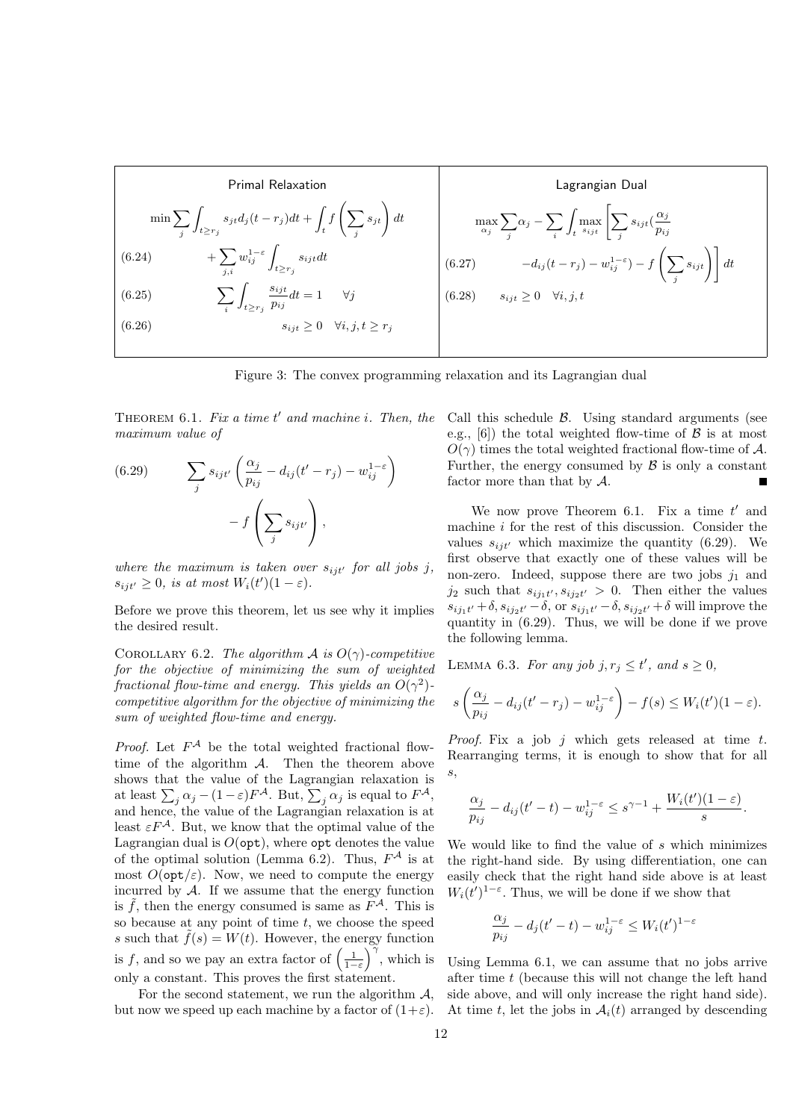| Primal Relaxation                                                                                           | Lagrangian Dual                                                                                                                                                                                                  |                                                                                                                                                                                                                  |                                                                                                                        |
|-------------------------------------------------------------------------------------------------------------|------------------------------------------------------------------------------------------------------------------------------------------------------------------------------------------------------------------|------------------------------------------------------------------------------------------------------------------------------------------------------------------------------------------------------------------|------------------------------------------------------------------------------------------------------------------------|
| \n $\min \sum_{j} \int_{t \geq r_j} s_{jt} d_j(t - r_j) dt + \int_{t} f\left(\sum_{j} s_{jt}\right) dt$ \n  | \n $\max_{\alpha_j} \sum_{j} \alpha_j - \sum_{i} \int_{t} \max_{s_{ijt}} \left[\sum_{j} s_{ijt} \left(\frac{\alpha_j}{p_{ij}}\right) + \sum_{j,i} w_{ij}^{1-\varepsilon} \int_{t \geq r_j} s_{ijt} dt\right]$ \n | \n $\max_{\alpha_j} \sum_{j} \alpha_j - \sum_{i} \int_{t} \max_{s_{ijt}} \left[\sum_{j} s_{ijt} \left(\frac{\alpha_j}{p_{ij}}\right) + \sum_{j,i} w_{ij}^{1-\varepsilon} \int_{t \geq r_j} s_{ijt} dt\right]$ \n | \n $\left(6.27\right) \qquad -d_{ij}(t - r_j) - w_{ij}^{1-\varepsilon} - f\left(\sum_{j} s_{ijt}\right) \right] dt$ \n |
| \n $\left(6.26\right) \qquad\n \sum_{i} \int_{t \geq r_j} \frac{s_{ijt}}{p_{ij}} dt = 1 \quad \forall j$ \n | \n $\left(6.28\right) \qquad s_{ijt} \geq 0 \quad \forall i, j, t \geq r_j$ \n                                                                                                                                   |                                                                                                                                                                                                                  |                                                                                                                        |

Figure 3: The convex programming relaxation and its Lagrangian dual

THEOREM  $6.1.$  Fix a time  $t'$  and machine i. Then, the maximum value of

(6.29) 
$$
\sum_{j} s_{ijt'} \left( \frac{\alpha_j}{p_{ij}} - d_{ij} (t' - r_j) - w_{ij}^{1-\epsilon} \right) - f \left( \sum_{j} s_{ijt'} \right),
$$

where the maximum is taken over  $s_{ijt'}$  for all jobs j,  $s_{ijt'} \geq 0$ , is at most  $W_i(t')(1 - \varepsilon)$ .

Before we prove this theorem, let us see why it implies the desired result.

COROLLARY 6.2. The algorithm A is  $O(\gamma)$ -competitive for the objective of minimizing the sum of weighted fractional flow-time and energy. This yields an  $O(\gamma^2)$ competitive algorithm for the objective of minimizing the sum of weighted flow-time and energy.

*Proof.* Let  $F^{\mathcal{A}}$  be the total weighted fractional flowtime of the algorithm  $A$ . Then the theorem above shows that the value of the Lagrangian relaxation is at least  $\sum_j \alpha_j - (1 - \varepsilon) F^{\mathcal{A}}$ . But,  $\sum_j \alpha_j$  is equal to  $F^{\mathcal{A}}$ , and hence, the value of the Lagrangian relaxation is at least  $\varepsilon F^{\mathcal{A}}$ . But, we know that the optimal value of the Lagrangian dual is  $O(\text{opt})$ , where  $\text{opt}$  denotes the value of the optimal solution (Lemma 6.2). Thus,  $F^{\mathcal{A}}$  is at most  $O(\mathsf{opt}/\varepsilon)$ . Now, we need to compute the energy incurred by  $A$ . If we assume that the energy function is  $\tilde{f}$ , then the energy consumed is same as  $\tilde{F}^{\mathcal{A}}$ . This is so because at any point of time  $t$ , we choose the speed s such that  $\tilde{f}(s) = W(t)$ . However, the energy function is f, and so we pay an extra factor of  $\left(\frac{1}{1-\varepsilon}\right)^{\gamma}$ , which is only a constant. This proves the first statement.

For the second statement, we run the algorithm  $A$ , but now we speed up each machine by a factor of  $(1+\varepsilon)$ . Call this schedule  $\beta$ . Using standard arguments (see e.g., [6]) the total weighted flow-time of  $\beta$  is at most  $O(\gamma)$  times the total weighted fractional flow-time of A. Further, the energy consumed by  $\beta$  is only a constant factor more than that by A. П

We now prove Theorem 6.1. Fix a time  $t'$  and machine  $i$  for the rest of this discussion. Consider the values  $s_{ijt'}$  which maximize the quantity (6.29). We first observe that exactly one of these values will be non-zero. Indeed, suppose there are two jobs  $j_1$  and  $j_2$  such that  $s_{ij_1t'}, s_{ij_2t'} > 0$ . Then either the values  $s_{ij_1t'} + \delta, s_{ij_2t'} - \delta$ , or  $s_{ij_1t'} - \delta, s_{ij_2t'} + \delta$  will improve the quantity in (6.29). Thus, we will be done if we prove the following lemma.

LEMMA 6.3. For any job j,  $r_j \le t'$ , and  $s \ge 0$ ,

$$
s\left(\frac{\alpha_j}{p_{ij}}-d_{ij}(t'-r_j)-w_{ij}^{1-\varepsilon}\right)-f(s)\leq W_i(t')(1-\varepsilon).
$$

*Proof.* Fix a job j which gets released at time t. Rearranging terms, it is enough to show that for all s,

$$
\frac{\alpha_j}{p_{ij}} - d_{ij}(t'-t) - w_{ij}^{1-\varepsilon} \leq s^{\gamma-1} + \frac{W_i(t')(1-\varepsilon)}{s}.
$$

We would like to find the value of s which minimizes the right-hand side. By using differentiation, one can easily check that the right hand side above is at least  $W_i(t')^{1-\epsilon}$ . Thus, we will be done if we show that

$$
\frac{\alpha_j}{p_{ij}} - d_j(t'-t) - w_{ij}^{1-\varepsilon} \le W_i(t')^{1-\varepsilon}
$$

Using Lemma 6.1, we can assume that no jobs arrive after time t (because this will not change the left hand side above, and will only increase the right hand side). At time t, let the jobs in  $A_i(t)$  arranged by descending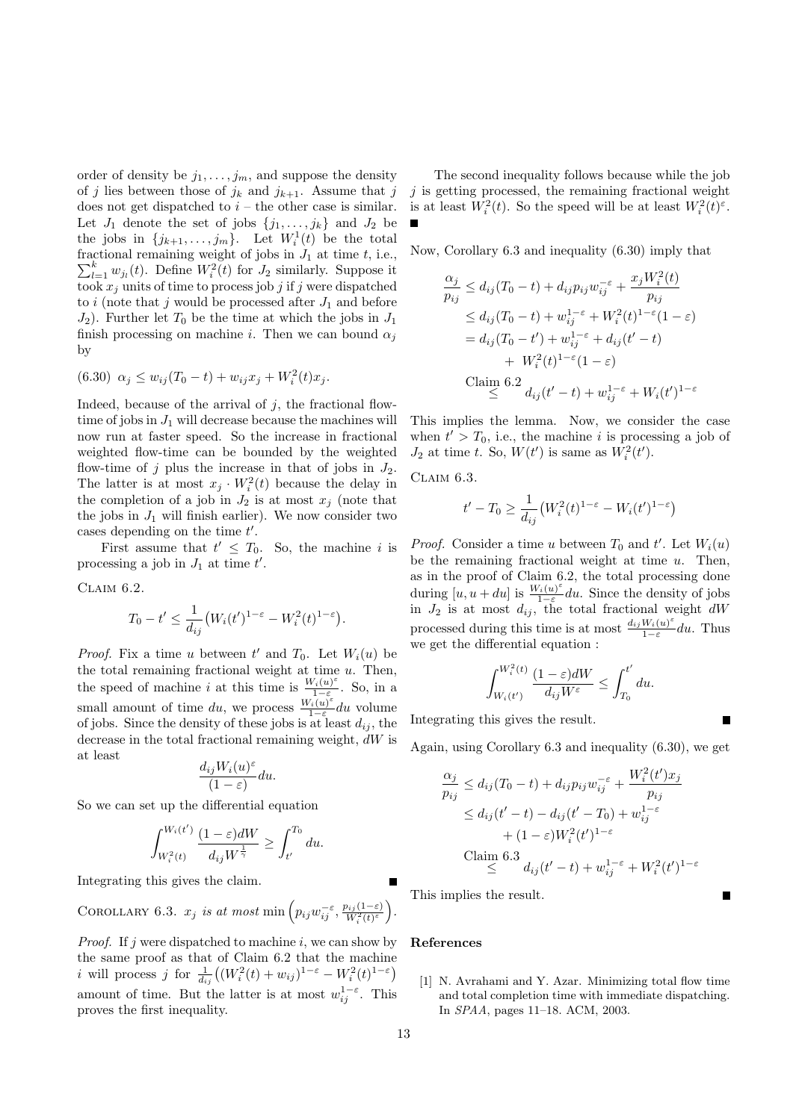order of density be  $j_1, \ldots, j_m$ , and suppose the density of j lies between those of  $j_k$  and  $j_{k+1}$ . Assume that j does not get dispatched to  $i$  – the other case is similar. Let  $J_1$  denote the set of jobs  $\{j_1, \ldots, j_k\}$  and  $J_2$  be the jobs in  $\{j_{k+1}, \ldots, j_m\}$ . Let  $W_i^1(t)$  be the total fractional remaining weight of jobs in  $J_1$  at time t, i.e.,  $\sum_{l=1}^{k} w_{j_l}(t)$ . Define  $W_i^2(t)$  for  $J_2$  similarly. Suppose it took  $x_i$  units of time to process job j if j were dispatched to i (note that j would be processed after  $J_1$  and before  $J_2$ ). Further let  $T_0$  be the time at which the jobs in  $J_1$ finish processing on machine *i*. Then we can bound  $\alpha_j$ by

$$
(6.30) \ \alpha_j \le w_{ij}(T_0 - t) + w_{ij}x_j + W_i^2(t)x_j.
$$

Indeed, because of the arrival of  $j$ , the fractional flowtime of jobs in  $J_1$  will decrease because the machines will now run at faster speed. So the increase in fractional weighted flow-time can be bounded by the weighted flow-time of j plus the increase in that of jobs in  $J_2$ . The latter is at most  $x_j \cdot W_i^2(t)$  because the delay in the completion of a job in  $J_2$  is at most  $x_j$  (note that the jobs in  $J_1$  will finish earlier). We now consider two cases depending on the time  $t'$ .

First assume that  $t' \leq T_0$ . So, the machine i is processing a job in  $J_1$  at time  $t'$ .

Claim 6.2.

$$
T_0 - t' \le \frac{1}{d_{ij}} \big( W_i(t')^{1-\varepsilon} - W_i^2(t)^{1-\varepsilon} \big).
$$

*Proof.* Fix a time u between  $t'$  and  $T_0$ . Let  $W_i(u)$  be the total remaining fractional weight at time  $u$ . Then, the speed of machine *i* at this time is  $\frac{W_i(u)^{\varepsilon}}{1-\varepsilon}$  $\frac{\gamma_i(u)}{1-\varepsilon}$ . So, in a small amount of time du, we process  $\frac{W_i(u)^{\varepsilon}}{1-\varepsilon}$  $\frac{d(u)-d(u)}{1-\varepsilon}$  du volume of jobs. Since the density of these jobs is at least  $d_{ij}$ , the decrease in the total fractional remaining weight, dW is at least

$$
\frac{d_{ij}W_i(u)^{\varepsilon}}{(1-\varepsilon)}du.
$$

So we can set up the differential equation

$$
\int_{W_i^2(t)}^{W_i(t')}\frac{(1-\varepsilon)dW}{d_{ij}W^{\frac{1}{\gamma}}} \geq \int_{t'}^{T_0} du.
$$

Integrating this gives the claim.

COROLLARY 6.3.  $x_j$  is at most min  $\left(p_{ij}w_{ij}^{-\varepsilon}, \frac{p_{ij}(1-\varepsilon)}{W_i^2(t)^\varepsilon}\right)$  $\frac{\nu_{ij}(1-\varepsilon)}{W_i^2(t)^\varepsilon}\bigg).$ 

*Proof.* If j were dispatched to machine i, we can show by the same proof as that of Claim 6.2 that the machine *i* will process *j* for  $\frac{1}{d_{ij}}((W_i^2(t) + w_{ij})^{1-\varepsilon} - W_i^2(t)^{1-\varepsilon})$ amount of time. But the latter is at most  $w_{ij}^{1-\varepsilon}$ . This proves the first inequality.

The second inequality follows because while the job  $j$  is getting processed, the remaining fractional weight is at least  $W_i^2(t)$ . So the speed will be at least  $W_i^2(t)^\varepsilon$ .

Now, Corollary 6.3 and inequality (6.30) imply that

$$
\frac{\alpha_j}{p_{ij}} \le d_{ij}(T_0 - t) + d_{ij}p_{ij}w_{ij}^{-\varepsilon} + \frac{x_j W_i^2(t)}{p_{ij}}
$$
  
\n
$$
\le d_{ij}(T_0 - t) + w_{ij}^{1-\varepsilon} + W_i^2(t)^{1-\varepsilon}(1-\varepsilon)
$$
  
\n
$$
= d_{ij}(T_0 - t') + w_{ij}^{1-\varepsilon} + d_{ij}(t'-t)
$$
  
\n
$$
+ W_i^2(t)^{1-\varepsilon}(1-\varepsilon)
$$
  
\nClaim 6.2  
\n
$$
\frac{d_{ij}(t'-t) + w_{ij}^{1-\varepsilon} + W_i(t')^{1-\varepsilon}}{1-\varepsilon}
$$

This implies the lemma. Now, we consider the case when  $t' > T_0$ , i.e., the machine *i* is processing a job of  $J_2$  at time t. So,  $W(t')$  is same as  $W_i^2(t')$ .

CLAIM  $6.3$ .

$$
t' - T_0 \ge \frac{1}{d_{ij}} \left( W_i^2(t)^{1-\varepsilon} - W_i(t')^{1-\varepsilon} \right)
$$

*Proof.* Consider a time u between  $T_0$  and t'. Let  $W_i(u)$ be the remaining fractional weight at time  $u$ . Then, as in the proof of Claim 6.2, the total processing done during  $[u, u + du]$  is  $\frac{W_i(u)^{\varepsilon}}{1-\varepsilon}$  $\frac{\partial^2 i(u)}{\partial x^2}$  du. Since the density of jobs in  $J_2$  is at most  $d_{ij}$ , the total fractional weight dW processed during this time is at most  $\frac{d_{ij}W_i(u)^s}{1-\epsilon}$  $\frac{W_i(u)}{1-\varepsilon}du$ . Thus we get the differential equation :

$$
\int_{W_i(t')}^{W_i^2(t)} \frac{(1-\varepsilon)dW}{d_{ij}W^{\varepsilon}} \le \int_{T_0}^{t'} du.
$$

Integrating this gives the result.

Again, using Corollary 6.3 and inequality (6.30), we get

$$
\frac{\alpha_j}{p_{ij}} \le d_{ij}(T_0 - t) + d_{ij}p_{ij}w_{ij}^{-\varepsilon} + \frac{W_i^2(t')x_j}{p_{ij}}
$$
  
\n
$$
\le d_{ij}(t'-t) - d_{ij}(t'-T_0) + w_{ij}^{1-\varepsilon}
$$
  
\n
$$
+ (1-\varepsilon)W_i^2(t')^{1-\varepsilon}
$$
  
\nClaim 6.3  
\n
$$
\le d_{ij}(t'-t) + w_{ij}^{1-\varepsilon} + W_i^2(t')^{1-\varepsilon}
$$

Г

This implies the result.

# References

[1] N. Avrahami and Y. Azar. Minimizing total flow time and total completion time with immediate dispatching. In SPAA, pages 11–18. ACM, 2003.